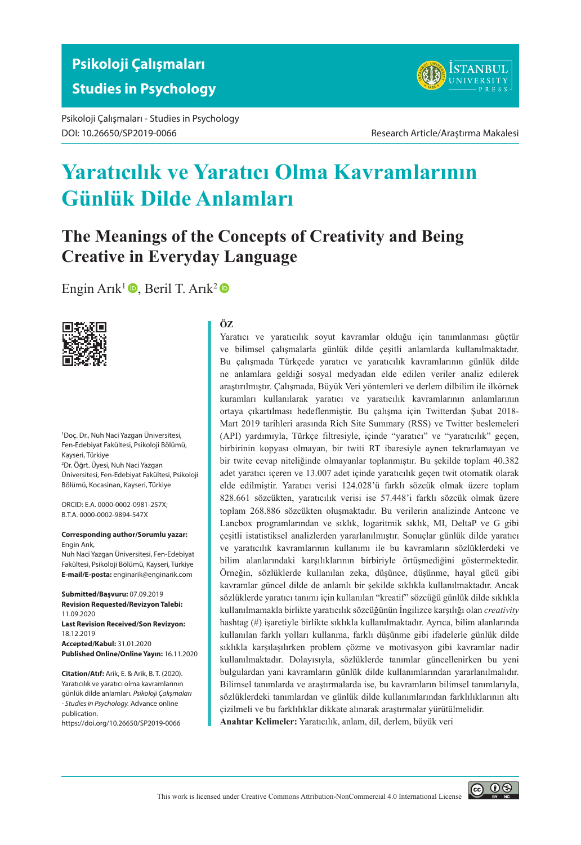Psikoloji Çalışmaları - Studies in Psychology DOI: 10.26650/SP2019-0066 Research Article/Araştırma Makalesi



# **Yaratıcılık ve Yaratıcı Olma Kavramlarının Günlük Dilde Anlamları**

# **The Meanings of the Concepts of Creativity and Being Creative in Everyday Language**

[Engin Arık](https://orcid.org/0000-0002-0981-257X)<sup>1</sup> $\bullet$ , [Beril T. Arık](https://orcid.org/0000-0002-9894-547X)<sup>2</sup> $\bullet$ 



1 Doç. Dr., Nuh Naci Yazgan Üniversitesi, Fen-Edebiyat Fakültesi, Psikoloji Bölümü, Kayseri, Türkiye 2 Dr. Öğrt. Üyesi, Nuh Naci Yazgan Üniversitesi, Fen-Edebiyat Fakültesi, Psikoloji Bölümü, Kocasinan, Kayseri, Türkiye

ORCID: E.A. 0000-0002-0981-257X; B.T.A. 0000-0002-9894-547X

**Corresponding author/Sorumlu yazar:** Engin Arık,

Nuh Naci Yazgan Üniversitesi, Fen-Edebiyat Fakültesi, Psikoloji Bölümü, Kayseri, Türkiye **E-mail/E-posta:** enginarik@enginarik.com

**Submitted/Başvuru:** 07.09.2019 **Revision Requested/Revizyon Talebi:** 11.09.2020 **Last Revision Received/Son Revizyon:** 18.12.2019 **Accepted/Kabul:** 31.01.2020 **Published Online/Online Yayın:** 16.11.2020

**Citation/Atıf:** Arik, E. & Arik, B. T. (2020). Yaratıcılık ve yaratıcı olma kavramlarının günlük dilde anlamları. *Psikoloji Çalışmaları - Studies in Psychology.* Advance online publication.

https://doi.org/10.26650/SP2019-0066

#### **ÖZ**

Yaratıcı ve yaratıcılık soyut kavramlar olduğu için tanımlanması güçtür ve bilimsel çalışmalarla günlük dilde çeşitli anlamlarda kullanılmaktadır. Bu çalışmada Türkçede yaratıcı ve yaratıcılık kavramlarının günlük dilde ne anlamlara geldiği sosyal medyadan elde edilen veriler analiz edilerek araştırılmıştır. Çalışmada, Büyük Veri yöntemleri ve derlem dilbilim ile ilkörnek kuramları kullanılarak yaratıcı ve yaratıcılık kavramlarının anlamlarının ortaya çıkartılması hedeflenmiştir. Bu çalışma için Twitterdan Şubat 2018- Mart 2019 tarihleri arasında Rich Site Summary (RSS) ve Twitter beslemeleri (API) yardımıyla, Türkçe filtresiyle, içinde "yaratıcı" ve "yaratıcılık" geçen, birbirinin kopyası olmayan, bir twiti RT ibaresiyle aynen tekrarlamayan ve bir twite cevap niteliğinde olmayanlar toplanmıştır. Bu şekilde toplam 40.382 adet yaratıcı içeren ve 13.007 adet içinde yaratıcılık geçen twit otomatik olarak elde edilmiştir. Yaratıcı verisi 124.028'ü farklı sözcük olmak üzere toplam 828.661 sözcükten, yaratıcılık verisi ise 57.448'i farklı sözcük olmak üzere toplam 268.886 sözcükten oluşmaktadır. Bu verilerin analizinde Antconc ve Lancbox programlarından ve sıklık, logaritmik sıklık, MI, DeltaP ve G gibi çeşitli istatistiksel analizlerden yararlanılmıştır. Sonuçlar günlük dilde yaratıcı ve yaratıcılık kavramlarının kullanımı ile bu kavramların sözlüklerdeki ve bilim alanlarındaki karşılıklarının birbiriyle örtüşmediğini göstermektedir. Örneğin, sözlüklerde kullanılan zeka, düşünce, düşünme, hayal gücü gibi kavramlar güncel dilde de anlamlı bir şekilde sıklıkla kullanılmaktadır. Ancak sözlüklerde yaratıcı tanımı için kullanılan "kreatif" sözcüğü günlük dilde sıklıkla kullanılmamakla birlikte yaratıcılık sözcüğünün İngilizce karşılığı olan *creativity* hashtag (#) işaretiyle birlikte sıklıkla kullanılmaktadır. Ayrıca, bilim alanlarında kullanılan farklı yolları kullanma, farklı düşünme gibi ifadelerle günlük dilde sıklıkla karşılaşılırken problem çözme ve motivasyon gibi kavramlar nadir kullanılmaktadır. Dolayısıyla, sözlüklerde tanımlar güncellenirken bu yeni bulgulardan yani kavramların günlük dilde kullanımlarından yararlanılmalıdır. Bilimsel tanımlarda ve araştırmalarda ise, bu kavramların bilimsel tanımlarıyla, sözlüklerdeki tanımlardan ve günlük dilde kullanımlarından farklılıklarının altı çizilmeli ve bu farklılıklar dikkate alınarak araştırmalar yürütülmelidir. **Anahtar Kelimeler:** Yaratıcılık, anlam, dil, derlem, büyük veri



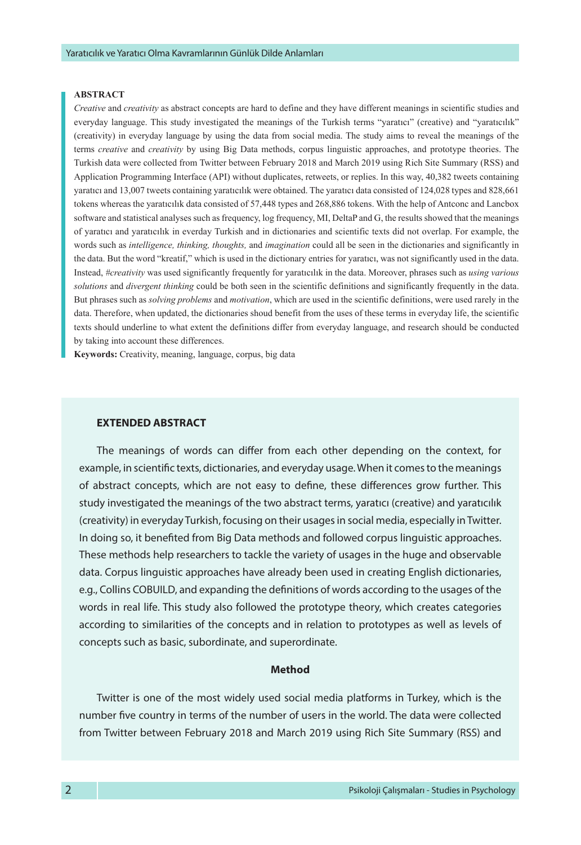#### **ABSTRACT**

*Creative* and *creativity* as abstract concepts are hard to define and they have different meanings in scientific studies and everyday language. This study investigated the meanings of the Turkish terms "yaratıcı" (creative) and "yaratıcılık" (creativity) in everyday language by using the data from social media. The study aims to reveal the meanings of the terms *creative* and *creativity* by using Big Data methods, corpus linguistic approaches, and prototype theories. The Turkish data were collected from Twitter between February 2018 and March 2019 using Rich Site Summary (RSS) and Application Programming Interface (API) without duplicates, retweets, or replies. In this way, 40,382 tweets containing yaratıcı and 13,007 tweets containing yaratıcılık were obtained. The yaratıcı data consisted of 124,028 types and 828,661 tokens whereas the yaratıcılık data consisted of 57,448 types and 268,886 tokens. With the help of Antconc and Lancbox software and statistical analyses such as frequency, log frequency, MI, DeltaP and G, the results showed that the meanings of yaratıcı and yaratıcılık in everday Turkish and in dictionaries and scientific texts did not overlap. For example, the words such as *intelligence, thinking, thoughts,* and *imagination* could all be seen in the dictionaries and significantly in the data. But the word "kreatif," which is used in the dictionary entries for yaratıcı, was not significantly used in the data. Instead, *#creativity* was used significantly frequently for yaratıcılık in the data. Moreover, phrases such as *using various solutions* and *divergent thinking* could be both seen in the scientific definitions and significantly frequently in the data. But phrases such as *solving problems* and *motivation*, which are used in the scientific definitions, were used rarely in the data. Therefore, when updated, the dictionaries shoud benefit from the uses of these terms in everyday life, the scientific texts should underline to what extent the definitions differ from everyday language, and research should be conducted by taking into account these differences.

**Keywords:** Creativity, meaning, language, corpus, big data

#### **EXTENDED ABSTRACT**

The meanings of words can differ from each other depending on the context, for example, in scientific texts, dictionaries, and everyday usage. When it comes to the meanings of abstract concepts, which are not easy to define, these differences grow further. This study investigated the meanings of the two abstract terms, yaratıcı (creative) and yaratıcılık (creativity) in everyday Turkish, focusing on their usages in social media, especially in Twitter. In doing so, it benefited from Big Data methods and followed corpus linguistic approaches. These methods help researchers to tackle the variety of usages in the huge and observable data. Corpus linguistic approaches have already been used in creating English dictionaries, e.g., Collins COBUILD, and expanding the definitions of words according to the usages of the words in real life. This study also followed the prototype theory, which creates categories according to similarities of the concepts and in relation to prototypes as well as levels of concepts such as basic, subordinate, and superordinate.

#### **Method**

Twitter is one of the most widely used social media platforms in Turkey, which is the number five country in terms of the number of users in the world. The data were collected from Twitter between February 2018 and March 2019 using Rich Site Summary (RSS) and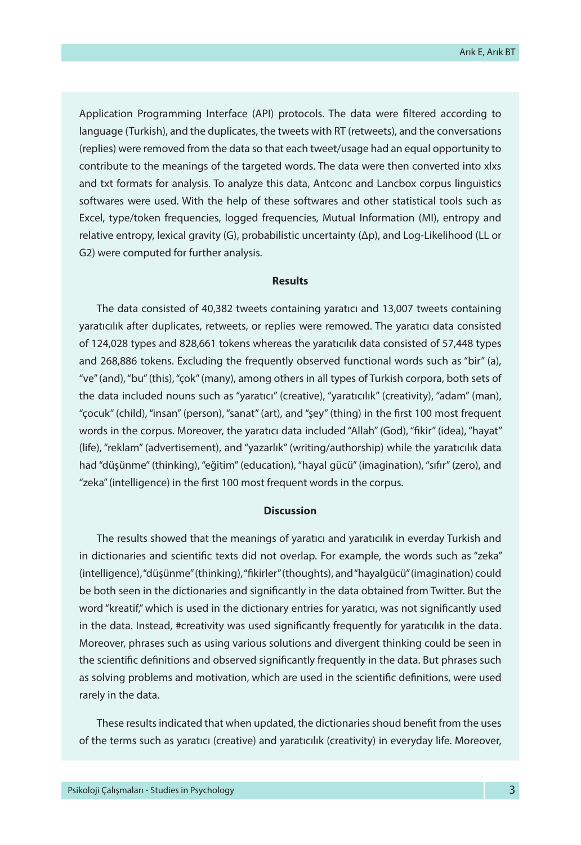Application Programming Interface (API) protocols. The data were filtered according to language (Turkish), and the duplicates, the tweets with RT (retweets), and the conversations (replies) were removed from the data so that each tweet/usage had an equal opportunity to contribute to the meanings of the targeted words. The data were then converted into xlxs and txt formats for analysis. To analyze this data, Antconc and Lancbox corpus linguistics softwares were used. With the help of these softwares and other statistical tools such as Excel, type/token frequencies, logged frequencies, Mutual Information (MI), entropy and relative entropy, lexical gravity (G), probabilistic uncertainty (Δp), and Log-Likelihood (LL or G2) were computed for further analysis.

#### **Results**

The data consisted of 40,382 tweets containing yaratıcı and 13,007 tweets containing yaratıcılık after duplicates, retweets, or replies were remowed. The yaratıcı data consisted of 124,028 types and 828,661 tokens whereas the yaratıcılık data consisted of 57,448 types and 268,886 tokens. Excluding the frequently observed functional words such as "bir" (a), "ve" (and), "bu" (this), "çok" (many), among others in all types of Turkish corpora, both sets of the data included nouns such as "yaratıcı" (creative), "yaratıcılık" (creativity), "adam" (man), "çocuk" (child), "insan" (person), "sanat" (art), and "şey" (thing) in the first 100 most frequent words in the corpus. Moreover, the yaratıcı data included "Allah" (God), "fikir" (idea), "hayat" (life), "reklam" (advertisement), and "yazarlık" (writing/authorship) while the yaratıcılık data had "düşünme" (thinking), "eğitim" (education), "hayal gücü" (imagination), "sıfır" (zero), and "zeka" (intelligence) in the first 100 most frequent words in the corpus.

#### **Discussion**

The results showed that the meanings of yaratıcı and yaratıcılık in everday Turkish and in dictionaries and scientific texts did not overlap. For example, the words such as "zeka" (intelligence), "düşünme" (thinking), "fikirler" (thoughts), and "hayalgücü" (imagination) could be both seen in the dictionaries and significantly in the data obtained from Twitter. But the word "kreatif," which is used in the dictionary entries for yaratıcı, was not significantly used in the data. Instead, #creativity was used significantly frequently for yaratıcılık in the data. Moreover, phrases such as using various solutions and divergent thinking could be seen in the scientific definitions and observed significantly frequently in the data. But phrases such as solving problems and motivation, which are used in the scientific definitions, were used rarely in the data.

These results indicated that when updated, the dictionaries shoud benefit from the uses of the terms such as yaratıcı (creative) and yaratıcılık (creativity) in everyday life. Moreover,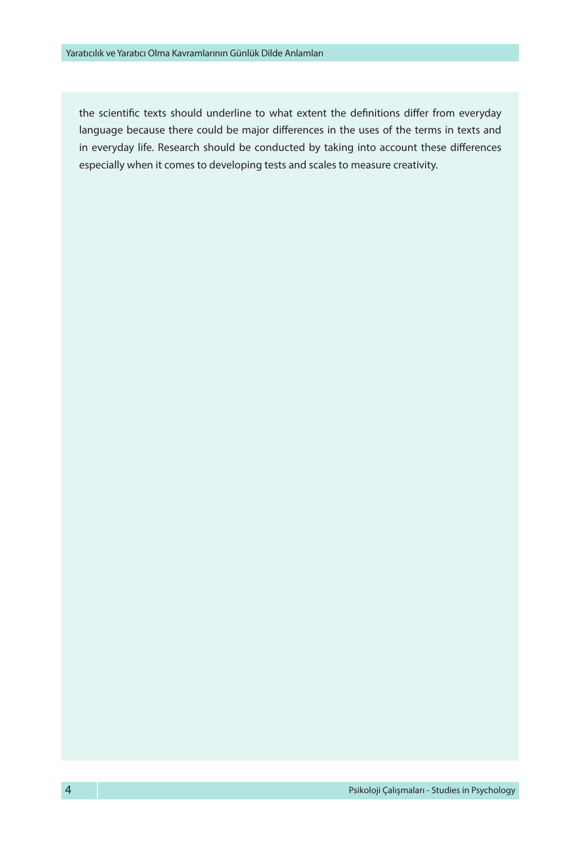the scientific texts should underline to what extent the definitions differ from everyday language because there could be major differences in the uses of the terms in texts and in everyday life. Research should be conducted by taking into account these differences especially when it comes to developing tests and scales to measure creativity.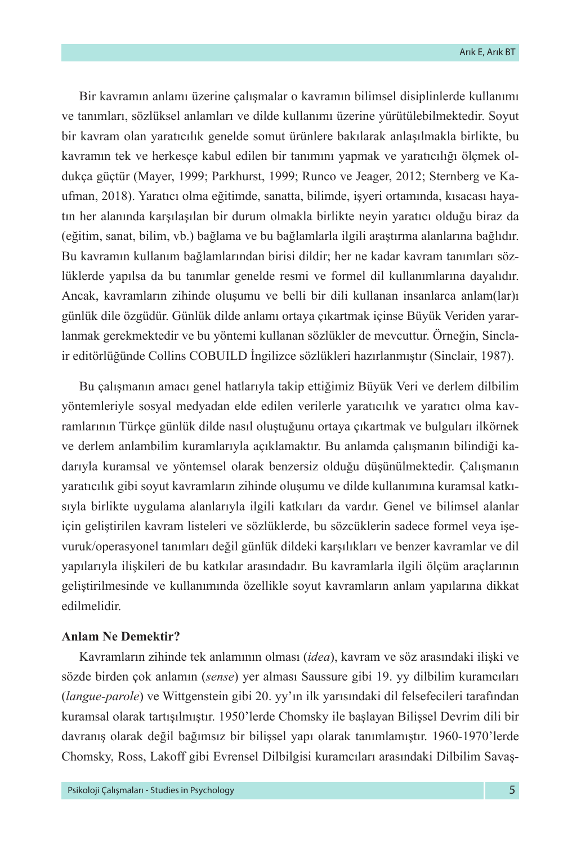Bir kavramın anlamı üzerine çalışmalar o kavramın bilimsel disiplinlerde kullanımı ve tanımları, sözlüksel anlamları ve dilde kullanımı üzerine yürütülebilmektedir. Soyut bir kavram olan yaratıcılık genelde somut ürünlere bakılarak anlaşılmakla birlikte, bu kavramın tek ve herkesçe kabul edilen bir tanımını yapmak ve yaratıcılığı ölçmek oldukça güçtür (Mayer, 1999; Parkhurst, 1999; Runco ve Jeager, 2012; Sternberg ve Kaufman, 2018). Yaratıcı olma eğitimde, sanatta, bilimde, işyeri ortamında, kısacası hayatın her alanında karşılaşılan bir durum olmakla birlikte neyin yaratıcı olduğu biraz da (eğitim, sanat, bilim, vb.) bağlama ve bu bağlamlarla ilgili araştırma alanlarına bağlıdır. Bu kavramın kullanım bağlamlarından birisi dildir; her ne kadar kavram tanımları sözlüklerde yapılsa da bu tanımlar genelde resmi ve formel dil kullanımlarına dayalıdır. Ancak, kavramların zihinde oluşumu ve belli bir dili kullanan insanlarca anlam(lar)ı günlük dile özgüdür. Günlük dilde anlamı ortaya çıkartmak içinse Büyük Veriden yararlanmak gerekmektedir ve bu yöntemi kullanan sözlükler de mevcuttur. Örneğin, Sinclair editörlüğünde Collins COBUILD İngilizce sözlükleri hazırlanmıştır (Sinclair, 1987).

Bu çalışmanın amacı genel hatlarıyla takip ettiğimiz Büyük Veri ve derlem dilbilim yöntemleriyle sosyal medyadan elde edilen verilerle yaratıcılık ve yaratıcı olma kavramlarının Türkçe günlük dilde nasıl oluştuğunu ortaya çıkartmak ve bulguları ilkörnek ve derlem anlambilim kuramlarıyla açıklamaktır. Bu anlamda çalışmanın bilindiği kadarıyla kuramsal ve yöntemsel olarak benzersiz olduğu düşünülmektedir. Çalışmanın yaratıcılık gibi soyut kavramların zihinde oluşumu ve dilde kullanımına kuramsal katkısıyla birlikte uygulama alanlarıyla ilgili katkıları da vardır. Genel ve bilimsel alanlar için geliştirilen kavram listeleri ve sözlüklerde, bu sözcüklerin sadece formel veya işevuruk/operasyonel tanımları değil günlük dildeki karşılıkları ve benzer kavramlar ve dil yapılarıyla ilişkileri de bu katkılar arasındadır. Bu kavramlarla ilgili ölçüm araçlarının geliştirilmesinde ve kullanımında özellikle soyut kavramların anlam yapılarına dikkat edilmelidir.

# **Anlam Ne Demektir?**

Kavramların zihinde tek anlamının olması (*idea*), kavram ve söz arasındaki ilişki ve sözde birden çok anlamın (*sense*) yer alması Saussure gibi 19. yy dilbilim kuramcıları (*langue-parole*) ve Wittgenstein gibi 20. yy'ın ilk yarısındaki dil felsefecileri tarafından kuramsal olarak tartışılmıştır. 1950'lerde Chomsky ile başlayan Bilişsel Devrim dili bir davranış olarak değil bağımsız bir bilişsel yapı olarak tanımlamıştır. 1960-1970'lerde Chomsky, Ross, Lakoff gibi Evrensel Dilbilgisi kuramcıları arasındaki Dilbilim Savaş-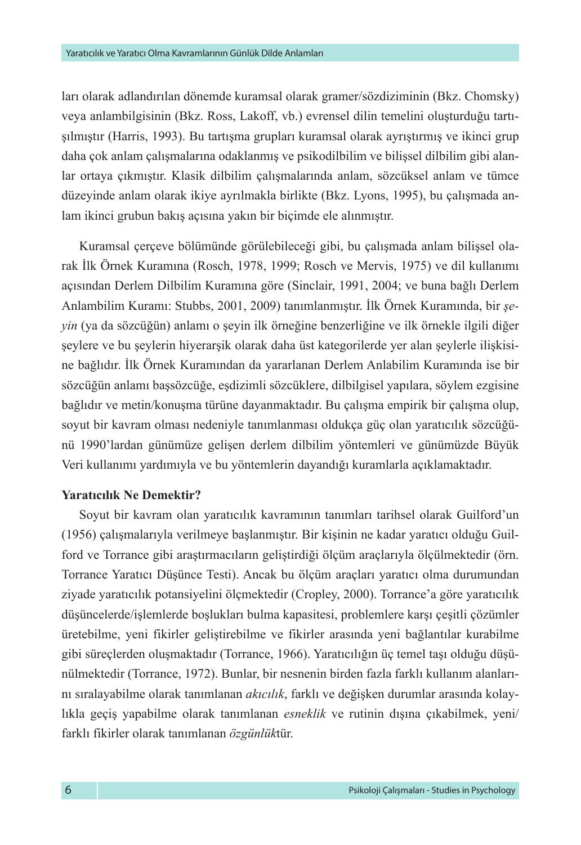ları olarak adlandırılan dönemde kuramsal olarak gramer/sözdiziminin (Bkz. Chomsky) veya anlambilgisinin (Bkz. Ross, Lakoff, vb.) evrensel dilin temelini oluşturduğu tartışılmıştır (Harris, 1993). Bu tartışma grupları kuramsal olarak ayrıştırmış ve ikinci grup daha çok anlam çalışmalarına odaklanmış ve psikodilbilim ve bilişsel dilbilim gibi alanlar ortaya çıkmıştır. Klasik dilbilim çalışmalarında anlam, sözcüksel anlam ve tümce düzeyinde anlam olarak ikiye ayrılmakla birlikte (Bkz. Lyons, 1995), bu çalışmada anlam ikinci grubun bakış açısına yakın bir biçimde ele alınmıştır.

Kuramsal çerçeve bölümünde görülebileceği gibi, bu çalışmada anlam bilişsel olarak İlk Örnek Kuramına (Rosch, 1978, 1999; Rosch ve Mervis, 1975) ve dil kullanımı açısından Derlem Dilbilim Kuramına göre (Sinclair, 1991, 2004; ve buna bağlı Derlem Anlambilim Kuramı: Stubbs, 2001, 2009) tanımlanmıştır. İlk Örnek Kuramında, bir *şeyin* (ya da sözcüğün) anlamı o şeyin ilk örneğine benzerliğine ve ilk örnekle ilgili diğer şeylere ve bu şeylerin hiyerarşik olarak daha üst kategorilerde yer alan şeylerle ilişkisine bağlıdır. İlk Örnek Kuramından da yararlanan Derlem Anlabilim Kuramında ise bir sözcüğün anlamı başsözcüğe, eşdizimli sözcüklere, dilbilgisel yapılara, söylem ezgisine bağlıdır ve metin/konuşma türüne dayanmaktadır. Bu çalışma empirik bir çalışma olup, soyut bir kavram olması nedeniyle tanımlanması oldukça güç olan yaratıcılık sözcüğünü 1990'lardan günümüze gelişen derlem dilbilim yöntemleri ve günümüzde Büyük Veri kullanımı yardımıyla ve bu yöntemlerin dayandığı kuramlarla açıklamaktadır.

# **Yaratıcılık Ne Demektir?**

Soyut bir kavram olan yaratıcılık kavramının tanımları tarihsel olarak Guilford'un (1956) çalışmalarıyla verilmeye başlanmıştır. Bir kişinin ne kadar yaratıcı olduğu Guilford ve Torrance gibi araştırmacıların geliştirdiği ölçüm araçlarıyla ölçülmektedir (örn. Torrance Yaratıcı Düşünce Testi). Ancak bu ölçüm araçları yaratıcı olma durumundan ziyade yaratıcılık potansiyelini ölçmektedir (Cropley, 2000). Torrance'a göre yaratıcılık düşüncelerde/işlemlerde boşlukları bulma kapasitesi, problemlere karşı çeşitli çözümler üretebilme, yeni fikirler geliştirebilme ve fikirler arasında yeni bağlantılar kurabilme gibi süreçlerden oluşmaktadır (Torrance, 1966). Yaratıcılığın üç temel taşı olduğu düşünülmektedir (Torrance, 1972). Bunlar, bir nesnenin birden fazla farklı kullanım alanlarını sıralayabilme olarak tanımlanan *akıcılık*, farklı ve değişken durumlar arasında kolaylıkla geçiş yapabilme olarak tanımlanan *esneklik* ve rutinin dışına çıkabilmek, yeni/ farklı fikirler olarak tanımlanan *özgünlük*tür.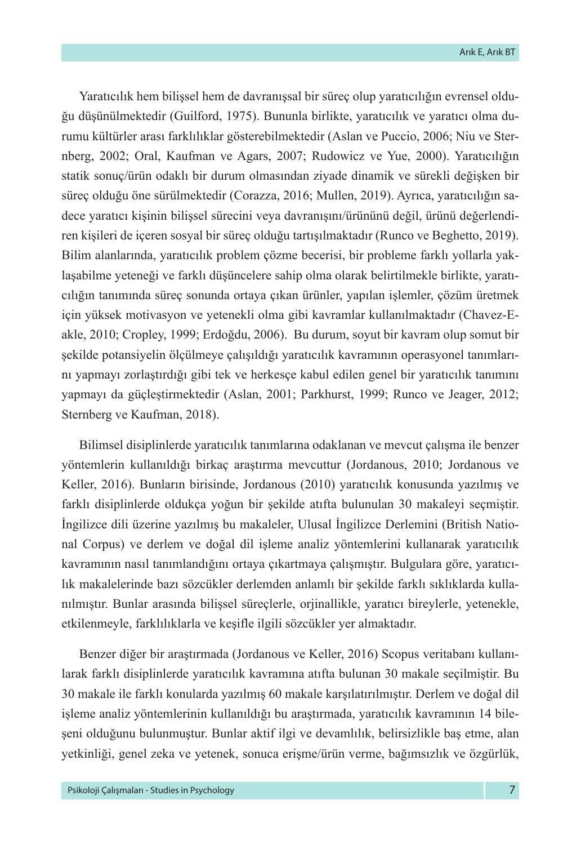Yaratıcılık hem bilişsel hem de davranışsal bir süreç olup yaratıcılığın evrensel olduğu düşünülmektedir (Guilford, 1975). Bununla birlikte, yaratıcılık ve yaratıcı olma durumu kültürler arası farklılıklar gösterebilmektedir (Aslan ve Puccio, 2006; Niu ve Sternberg, 2002; Oral, Kaufman ve Agars, 2007; Rudowicz ve Yue, 2000). Yaratıcılığın statik sonuç/ürün odaklı bir durum olmasından ziyade dinamik ve sürekli değişken bir süreç olduğu öne sürülmektedir (Corazza, 2016; Mullen, 2019). Ayrıca, yaratıcılığın sadece yaratıcı kişinin bilişsel sürecini veya davranışını/ürününü değil, ürünü değerlendiren kişileri de içeren sosyal bir süreç olduğu tartışılmaktadır (Runco ve Beghetto, 2019). Bilim alanlarında, yaratıcılık problem çözme becerisi, bir probleme farklı yollarla yaklaşabilme yeteneği ve farklı düşüncelere sahip olma olarak belirtilmekle birlikte, yaratıcılığın tanımında süreç sonunda ortaya çıkan ürünler, yapılan işlemler, çözüm üretmek için yüksek motivasyon ve yetenekli olma gibi kavramlar kullanılmaktadır (Chavez-Eakle, 2010; Cropley, 1999; Erdoğdu, 2006). Bu durum, soyut bir kavram olup somut bir şekilde potansiyelin ölçülmeye çalışıldığı yaratıcılık kavramının operasyonel tanımlarını yapmayı zorlaştırdığı gibi tek ve herkesçe kabul edilen genel bir yaratıcılık tanımını yapmayı da güçleştirmektedir (Aslan, 2001; Parkhurst, 1999; Runco ve Jeager, 2012; Sternberg ve Kaufman, 2018).

Bilimsel disiplinlerde yaratıcılık tanımlarına odaklanan ve mevcut çalışma ile benzer yöntemlerin kullanıldığı birkaç araştırma mevcuttur (Jordanous, 2010; Jordanous ve Keller, 2016). Bunların birisinde, Jordanous (2010) yaratıcılık konusunda yazılmış ve farklı disiplinlerde oldukça yoğun bir şekilde atıfta bulunulan 30 makaleyi seçmiştir. İngilizce dili üzerine yazılmış bu makaleler, Ulusal İngilizce Derlemini (British National Corpus) ve derlem ve doğal dil işleme analiz yöntemlerini kullanarak yaratıcılık kavramının nasıl tanımlandığını ortaya çıkartmaya çalışmıştır. Bulgulara göre, yaratıcılık makalelerinde bazı sözcükler derlemden anlamlı bir şekilde farklı sıklıklarda kullanılmıştır. Bunlar arasında bilişsel süreçlerle, orjinallikle, yaratıcı bireylerle, yetenekle, etkilenmeyle, farklılıklarla ve keşifle ilgili sözcükler yer almaktadır.

Benzer diğer bir araştırmada (Jordanous ve Keller, 2016) Scopus veritabanı kullanılarak farklı disiplinlerde yaratıcılık kavramına atıfta bulunan 30 makale seçilmiştir. Bu 30 makale ile farklı konularda yazılmış 60 makale karşılatırılmıştır. Derlem ve doğal dil işleme analiz yöntemlerinin kullanıldığı bu araştırmada, yaratıcılık kavramının 14 bileşeni olduğunu bulunmuştur. Bunlar aktif ilgi ve devamlılık, belirsizlikle baş etme, alan yetkinliği, genel zeka ve yetenek, sonuca erişme/ürün verme, bağımsızlık ve özgürlük,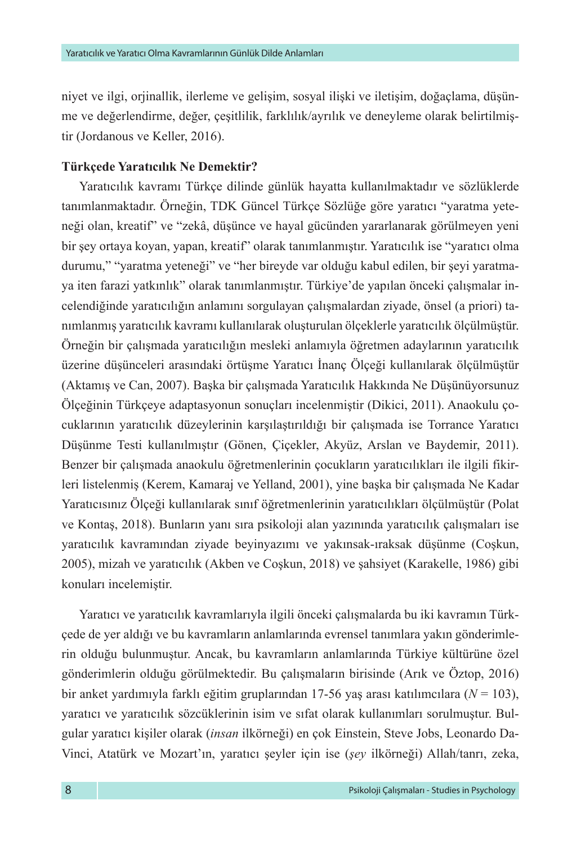niyet ve ilgi, orjinallik, ilerleme ve gelişim, sosyal ilişki ve iletişim, doğaçlama, düşünme ve değerlendirme, değer, çeşitlilik, farklılık/ayrılık ve deneyleme olarak belirtilmiştir (Jordanous ve Keller, 2016).

# **Türkçede Yaratıcılık Ne Demektir?**

Yaratıcılık kavramı Türkçe dilinde günlük hayatta kullanılmaktadır ve sözlüklerde tanımlanmaktadır. Örneğin, TDK Güncel Türkçe Sözlüğe göre yaratıcı "yaratma yeteneği olan, kreatif" ve "zekâ, düşünce ve hayal gücünden yararlanarak görülmeyen yeni bir şey ortaya koyan, yapan, kreatif" olarak tanımlanmıştır. Yaratıcılık ise "yaratıcı olma durumu," "yaratma yeteneği" ve "her bireyde var olduğu kabul edilen, bir şeyi yaratmaya iten farazi yatkınlık" olarak tanımlanmıştır. Türkiye'de yapılan önceki çalışmalar incelendiğinde yaratıcılığın anlamını sorgulayan çalışmalardan ziyade, önsel (a priori) tanımlanmış yaratıcılık kavramı kullanılarak oluşturulan ölçeklerle yaratıcılık ölçülmüştür. Örneğin bir çalışmada yaratıcılığın mesleki anlamıyla öğretmen adaylarının yaratıcılık üzerine düşünceleri arasındaki örtüşme Yaratıcı İnanç Ölçeği kullanılarak ölçülmüştür (Aktamış ve Can, 2007). Başka bir çalışmada Yaratıcılık Hakkında Ne Düşünüyorsunuz Ölçeğinin Türkçeye adaptasyonun sonuçları incelenmiştir (Dikici, 2011). Anaokulu çocuklarının yaratıcılık düzeylerinin karşılaştırıldığı bir çalışmada ise Torrance Yaratıcı Düşünme Testi kullanılmıştır (Gönen, Çiçekler, Akyüz, Arslan ve Baydemir, 2011). Benzer bir çalışmada anaokulu öğretmenlerinin çocukların yaratıcılıkları ile ilgili fikirleri listelenmiş (Kerem, Kamaraj ve Yelland, 2001), yine başka bir çalışmada Ne Kadar Yaratıcısınız Ölçeği kullanılarak sınıf öğretmenlerinin yaratıcılıkları ölçülmüştür (Polat ve Kontaş, 2018). Bunların yanı sıra psikoloji alan yazınında yaratıcılık çalışmaları ise yaratıcılık kavramından ziyade beyinyazımı ve yakınsak-ıraksak düşünme (Coşkun, 2005), mizah ve yaratıcılık (Akben ve Coşkun, 2018) ve şahsiyet (Karakelle, 1986) gibi konuları incelemiştir.

Yaratıcı ve yaratıcılık kavramlarıyla ilgili önceki çalışmalarda bu iki kavramın Türkçede de yer aldığı ve bu kavramların anlamlarında evrensel tanımlara yakın gönderimlerin olduğu bulunmuştur. Ancak, bu kavramların anlamlarında Türkiye kültürüne özel gönderimlerin olduğu görülmektedir. Bu çalışmaların birisinde (Arık ve Öztop, 2016) bir anket yardımıyla farklı eğitim gruplarından 17-56 yaş arası katılımcılara (*N* = 103), yaratıcı ve yaratıcılık sözcüklerinin isim ve sıfat olarak kullanımları sorulmuştur. Bulgular yaratıcı kişiler olarak (*insan* ilkörneği) en çok Einstein, Steve Jobs, Leonardo Da-Vinci, Atatürk ve Mozart'ın, yaratıcı şeyler için ise (*şey* ilkörneği) Allah/tanrı, zeka,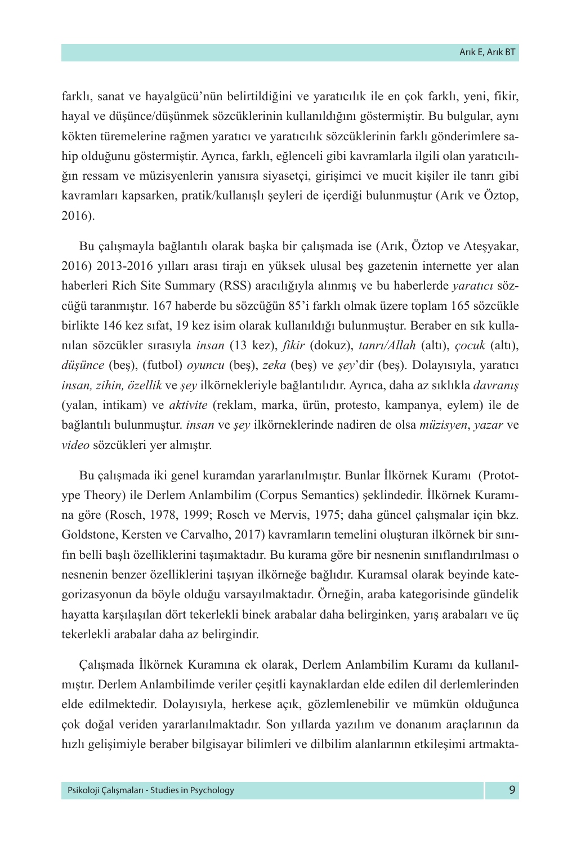farklı, sanat ve hayalgücü'nün belirtildiğini ve yaratıcılık ile en çok farklı, yeni, fikir, hayal ve düşünce/düşünmek sözcüklerinin kullanıldığını göstermiştir. Bu bulgular, aynı kökten türemelerine rağmen yaratıcı ve yaratıcılık sözcüklerinin farklı gönderimlere sahip olduğunu göstermiştir. Ayrıca, farklı, eğlenceli gibi kavramlarla ilgili olan yaratıcılığın ressam ve müzisyenlerin yanısıra siyasetçi, girişimci ve mucit kişiler ile tanrı gibi kavramları kapsarken, pratik/kullanışlı şeyleri de içerdiği bulunmuştur (Arık ve Öztop, 2016).

Bu çalışmayla bağlantılı olarak başka bir çalışmada ise (Arık, Öztop ve Ateşyakar, 2016) 2013-2016 yılları arası tirajı en yüksek ulusal beş gazetenin internette yer alan haberleri Rich Site Summary (RSS) aracılığıyla alınmış ve bu haberlerde *yaratıcı* sözcüğü taranmıştır. 167 haberde bu sözcüğün 85'i farklı olmak üzere toplam 165 sözcükle birlikte 146 kez sıfat, 19 kez isim olarak kullanıldığı bulunmuştur. Beraber en sık kullanılan sözcükler sırasıyla *insan* (13 kez), *fikir* (dokuz), *tanrı/Allah* (altı), *çocuk* (altı), *düşünce* (beş), (futbol) *oyuncu* (beş), *zeka* (beş) ve *şey*'dir (beş). Dolayısıyla, yaratıcı *insan, zihin, özellik* ve *şey* ilkörnekleriyle bağlantılıdır. Ayrıca, daha az sıklıkla *davranış* (yalan, intikam) ve *aktivite* (reklam, marka, ürün, protesto, kampanya, eylem) ile de bağlantılı bulunmuştur. *insan* ve *şey* ilkörneklerinde nadiren de olsa *müzisyen*, *yazar* ve *video* sözcükleri yer almıştır.

Bu çalışmada iki genel kuramdan yararlanılmıştır. Bunlar İlkörnek Kuramı (Prototype Theory) ile Derlem Anlambilim (Corpus Semantics) şeklindedir. İlkörnek Kuramına göre (Rosch, 1978, 1999; Rosch ve Mervis, 1975; daha güncel çalışmalar için bkz. Goldstone, Kersten ve Carvalho, 2017) kavramların temelini oluşturan ilkörnek bir sınıfın belli başlı özelliklerini taşımaktadır. Bu kurama göre bir nesnenin sınıflandırılması o nesnenin benzer özelliklerini taşıyan ilkörneğe bağlıdır. Kuramsal olarak beyinde kategorizasyonun da böyle olduğu varsayılmaktadır. Örneğin, araba kategorisinde gündelik hayatta karşılaşılan dört tekerlekli binek arabalar daha belirginken, yarış arabaları ve üç tekerlekli arabalar daha az belirgindir.

Çalışmada İlkörnek Kuramına ek olarak, Derlem Anlambilim Kuramı da kullanılmıştır. Derlem Anlambilimde veriler çeşitli kaynaklardan elde edilen dil derlemlerinden elde edilmektedir. Dolayısıyla, herkese açık, gözlemlenebilir ve mümkün olduğunca çok doğal veriden yararlanılmaktadır. Son yıllarda yazılım ve donanım araçlarının da hızlı gelişimiyle beraber bilgisayar bilimleri ve dilbilim alanlarının etkileşimi artmakta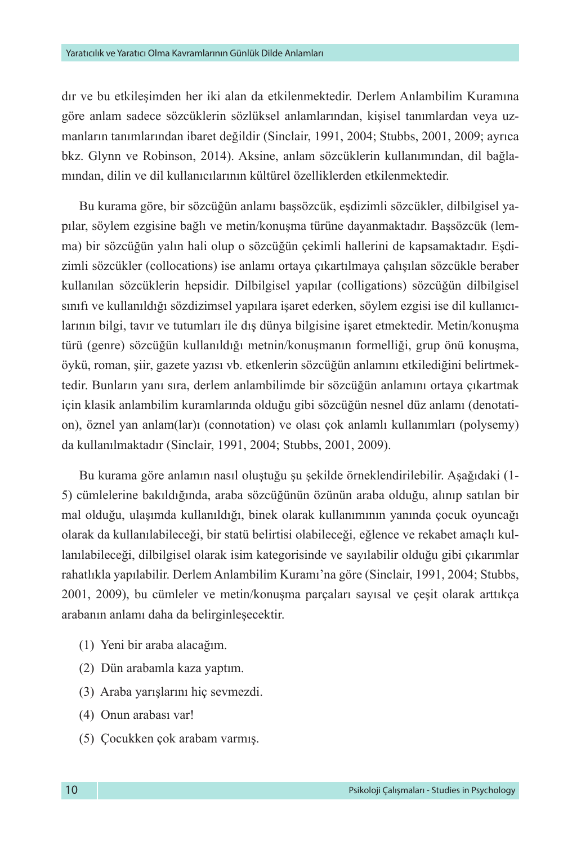dır ve bu etkileşimden her iki alan da etkilenmektedir. Derlem Anlambilim Kuramına göre anlam sadece sözcüklerin sözlüksel anlamlarından, kişisel tanımlardan veya uzmanların tanımlarından ibaret değildir (Sinclair, 1991, 2004; Stubbs, 2001, 2009; ayrıca bkz. Glynn ve Robinson, 2014). Aksine, anlam sözcüklerin kullanımından, dil bağlamından, dilin ve dil kullanıcılarının kültürel özelliklerden etkilenmektedir.

Bu kurama göre, bir sözcüğün anlamı başsözcük, eşdizimli sözcükler, dilbilgisel yapılar, söylem ezgisine bağlı ve metin/konuşma türüne dayanmaktadır. Başsözcük (lemma) bir sözcüğün yalın hali olup o sözcüğün çekimli hallerini de kapsamaktadır. Eşdizimli sözcükler (collocations) ise anlamı ortaya çıkartılmaya çalışılan sözcükle beraber kullanılan sözcüklerin hepsidir. Dilbilgisel yapılar (colligations) sözcüğün dilbilgisel sınıfı ve kullanıldığı sözdizimsel yapılara işaret ederken, söylem ezgisi ise dil kullanıcılarının bilgi, tavır ve tutumları ile dış dünya bilgisine işaret etmektedir. Metin/konuşma türü (genre) sözcüğün kullanıldığı metnin/konuşmanın formelliği, grup önü konuşma, öykü, roman, şiir, gazete yazısı vb. etkenlerin sözcüğün anlamını etkilediğini belirtmektedir. Bunların yanı sıra, derlem anlambilimde bir sözcüğün anlamını ortaya çıkartmak için klasik anlambilim kuramlarında olduğu gibi sözcüğün nesnel düz anlamı (denotation), öznel yan anlam(lar)ı (connotation) ve olası çok anlamlı kullanımları (polysemy) da kullanılmaktadır (Sinclair, 1991, 2004; Stubbs, 2001, 2009).

Bu kurama göre anlamın nasıl oluştuğu şu şekilde örneklendirilebilir. Aşağıdaki (1- 5) cümlelerine bakıldığında, araba sözcüğünün özünün araba olduğu, alınıp satılan bir mal olduğu, ulaşımda kullanıldığı, binek olarak kullanımının yanında çocuk oyuncağı olarak da kullanılabileceği, bir statü belirtisi olabileceği, eğlence ve rekabet amaçlı kullanılabileceği, dilbilgisel olarak isim kategorisinde ve sayılabilir olduğu gibi çıkarımlar rahatlıkla yapılabilir. Derlem Anlambilim Kuramı'na göre (Sinclair, 1991, 2004; Stubbs, 2001, 2009), bu cümleler ve metin/konuşma parçaları sayısal ve çeşit olarak arttıkça arabanın anlamı daha da belirginleşecektir.

- (1) Yeni bir araba alacağım.
- (2) Dün arabamla kaza yaptım.
- (3) Araba yarışlarını hiç sevmezdi.
- (4) Onun arabası var!
- (5) Çocukken çok arabam varmış.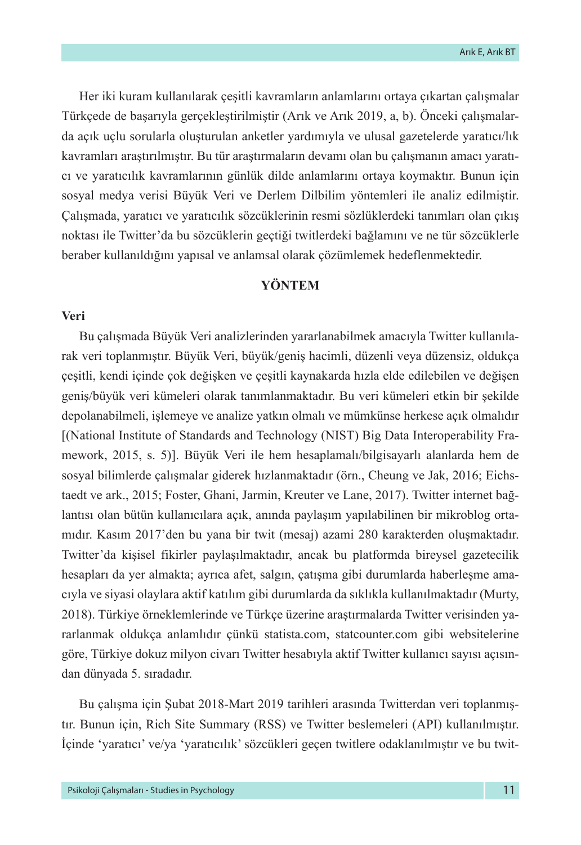Her iki kuram kullanılarak çeşitli kavramların anlamlarını ortaya çıkartan çalışmalar Türkçede de başarıyla gerçekleştirilmiştir (Arık ve Arık 2019, a, b). Önceki çalışmalarda açık uçlu sorularla oluşturulan anketler yardımıyla ve ulusal gazetelerde yaratıcı/lık kavramları araştırılmıştır. Bu tür araştırmaların devamı olan bu çalışmanın amacı yaratıcı ve yaratıcılık kavramlarının günlük dilde anlamlarını ortaya koymaktır. Bunun için sosyal medya verisi Büyük Veri ve Derlem Dilbilim yöntemleri ile analiz edilmiştir. Çalışmada, yaratıcı ve yaratıcılık sözcüklerinin resmi sözlüklerdeki tanımları olan çıkış noktası ile Twitter'da bu sözcüklerin geçtiği twitlerdeki bağlamını ve ne tür sözcüklerle beraber kullanıldığını yapısal ve anlamsal olarak çözümlemek hedeflenmektedir.

# **YÖNTEM**

# **Veri**

Bu çalışmada Büyük Veri analizlerinden yararlanabilmek amacıyla Twitter kullanılarak veri toplanmıştır. Büyük Veri, büyük/geniş hacimli, düzenli veya düzensiz, oldukça çeşitli, kendi içinde çok değişken ve çeşitli kaynakarda hızla elde edilebilen ve değişen geniş/büyük veri kümeleri olarak tanımlanmaktadır. Bu veri kümeleri etkin bir şekilde depolanabilmeli, işlemeye ve analize yatkın olmalı ve mümkünse herkese açık olmalıdır [(National Institute of Standards and Technology (NIST) Big Data Interoperability Framework, 2015, s. 5)]. Büyük Veri ile hem hesaplamalı/bilgisayarlı alanlarda hem de sosyal bilimlerde çalışmalar giderek hızlanmaktadır (örn., Cheung ve Jak, 2016; Eichstaedt ve ark., 2015; Foster, Ghani, Jarmin, Kreuter ve Lane, 2017). Twitter internet bağlantısı olan bütün kullanıcılara açık, anında paylaşım yapılabilinen bir mikroblog ortamıdır. Kasım 2017'den bu yana bir twit (mesaj) azami 280 karakterden oluşmaktadır. Twitter'da kişisel fikirler paylaşılmaktadır, ancak bu platformda bireysel gazetecilik hesapları da yer almakta; ayrıca afet, salgın, çatışma gibi durumlarda haberleşme amacıyla ve siyasi olaylara aktif katılım gibi durumlarda da sıklıkla kullanılmaktadır (Murty, 2018). Türkiye örneklemlerinde ve Türkçe üzerine araştırmalarda Twitter verisinden yararlanmak oldukça anlamlıdır çünkü statista.com, statcounter.com gibi websitelerine göre, Türkiye dokuz milyon civarı Twitter hesabıyla aktif Twitter kullanıcı sayısı açısından dünyada 5. sıradadır.

Bu çalışma için Şubat 2018-Mart 2019 tarihleri arasında Twitterdan veri toplanmıştır. Bunun için, Rich Site Summary (RSS) ve Twitter beslemeleri (API) kullanılmıştır. İçinde 'yaratıcı' ve/ya 'yaratıcılık' sözcükleri geçen twitlere odaklanılmıştır ve bu twit-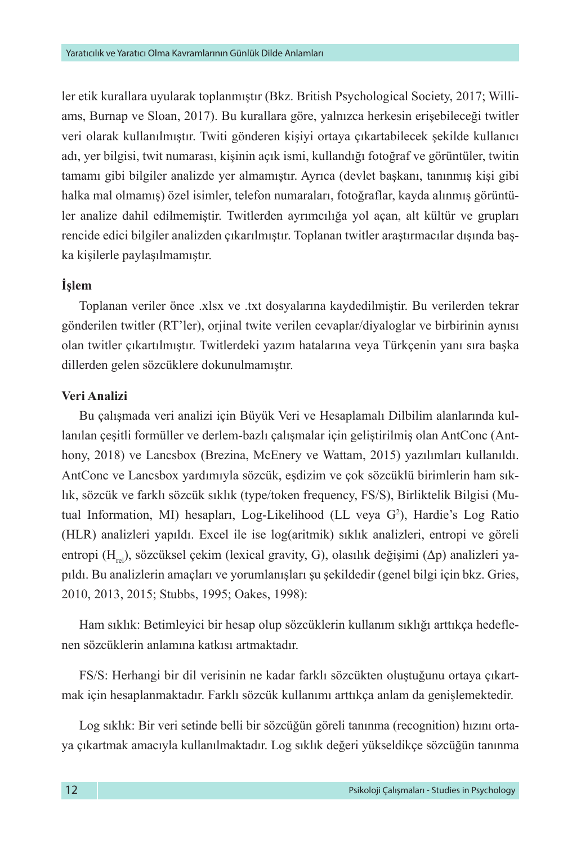ler etik kurallara uyularak toplanmıştır (Bkz. British Psychological Society, 2017; Williams, Burnap ve Sloan, 2017). Bu kurallara göre, yalnızca herkesin erişebileceği twitler veri olarak kullanılmıştır. Twiti gönderen kişiyi ortaya çıkartabilecek şekilde kullanıcı adı, yer bilgisi, twit numarası, kişinin açık ismi, kullandığı fotoğraf ve görüntüler, twitin tamamı gibi bilgiler analizde yer almamıştır. Ayrıca (devlet başkanı, tanınmış kişi gibi halka mal olmamış) özel isimler, telefon numaraları, fotoğraflar, kayda alınmış görüntüler analize dahil edilmemiştir. Twitlerden ayrımcılığa yol açan, alt kültür ve grupları rencide edici bilgiler analizden çıkarılmıştır. Toplanan twitler araştırmacılar dışında başka kişilerle paylaşılmamıştır.

# **İşlem**

Toplanan veriler önce .xlsx ve .txt dosyalarına kaydedilmiştir. Bu verilerden tekrar gönderilen twitler (RT'ler), orjinal twite verilen cevaplar/diyaloglar ve birbirinin aynısı olan twitler çıkartılmıştır. Twitlerdeki yazım hatalarına veya Türkçenin yanı sıra başka dillerden gelen sözcüklere dokunulmamıştır.

# **Veri Analizi**

Bu çalışmada veri analizi için Büyük Veri ve Hesaplamalı Dilbilim alanlarında kullanılan çeşitli formüller ve derlem-bazlı çalışmalar için geliştirilmiş olan AntConc (Anthony, 2018) ve Lancsbox (Brezina, McEnery ve Wattam, 2015) yazılımları kullanıldı. AntConc ve Lancsbox yardımıyla sözcük, eşdizim ve çok sözcüklü birimlerin ham sıklık, sözcük ve farklı sözcük sıklık (type/token frequency, FS/S), Birliktelik Bilgisi (Mutual Information, MI) hesapları, Log-Likelihood (LL veya G<sup>2</sup>), Hardie's Log Ratio (HLR) analizleri yapıldı. Excel ile ise log(aritmik) sıklık analizleri, entropi ve göreli entropi (H<sub>rel</sub>), sözcüksel çekim (lexical gravity, G), olasılık değişimi ( $\Delta p$ ) analizleri yapıldı. Bu analizlerin amaçları ve yorumlanışları şu şekildedir (genel bilgi için bkz. Gries, 2010, 2013, 2015; Stubbs, 1995; Oakes, 1998):

Ham sıklık: Betimleyici bir hesap olup sözcüklerin kullanım sıklığı arttıkça hedeflenen sözcüklerin anlamına katkısı artmaktadır.

FS/S: Herhangi bir dil verisinin ne kadar farklı sözcükten oluştuğunu ortaya çıkartmak için hesaplanmaktadır. Farklı sözcük kullanımı arttıkça anlam da genişlemektedir.

Log sıklık: Bir veri setinde belli bir sözcüğün göreli tanınma (recognition) hızını ortaya çıkartmak amacıyla kullanılmaktadır. Log sıklık değeri yükseldikçe sözcüğün tanınma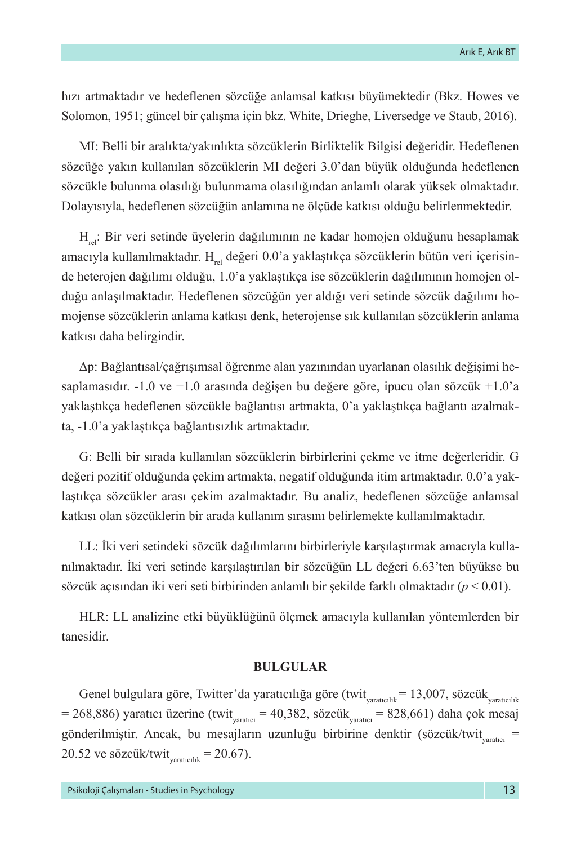hızı artmaktadır ve hedeflenen sözcüğe anlamsal katkısı büyümektedir (Bkz. Howes ve Solomon, 1951; güncel bir çalışma için bkz. White, Drieghe, Liversedge ve Staub, 2016).

MI: Belli bir aralıkta/yakınlıkta sözcüklerin Birliktelik Bilgisi değeridir. Hedeflenen sözcüğe yakın kullanılan sözcüklerin MI değeri 3.0'dan büyük olduğunda hedeflenen sözcükle bulunma olasılığı bulunmama olasılığından anlamlı olarak yüksek olmaktadır. Dolayısıyla, hedeflenen sözcüğün anlamına ne ölçüde katkısı olduğu belirlenmektedir.

H<sub>rel</sub>: Bir veri setinde üyelerin dağılımının ne kadar homojen olduğunu hesaplamak amacıyla kullanılmaktadır. H<sub>ral</sub> değeri 0.0'a yaklaştıkça sözcüklerin bütün veri içerisinde heterojen dağılımı olduğu, 1.0'a yaklaştıkça ise sözcüklerin dağılımının homojen olduğu anlaşılmaktadır. Hedeflenen sözcüğün yer aldığı veri setinde sözcük dağılımı homojense sözcüklerin anlama katkısı denk, heterojense sık kullanılan sözcüklerin anlama katkısı daha belirgindir.

Δp: Bağlantısal/çağrışımsal öğrenme alan yazınından uyarlanan olasılık değişimi hesaplamasıdır. -1.0 ve +1.0 arasında değişen bu değere göre, ipucu olan sözcük +1.0'a yaklaştıkça hedeflenen sözcükle bağlantısı artmakta, 0'a yaklaştıkça bağlantı azalmakta, -1.0'a yaklaştıkça bağlantısızlık artmaktadır.

G: Belli bir sırada kullanılan sözcüklerin birbirlerini çekme ve itme değerleridir. G değeri pozitif olduğunda çekim artmakta, negatif olduğunda itim artmaktadır. 0.0'a yaklaştıkça sözcükler arası çekim azalmaktadır. Bu analiz, hedeflenen sözcüğe anlamsal katkısı olan sözcüklerin bir arada kullanım sırasını belirlemekte kullanılmaktadır.

LL: İki veri setindeki sözcük dağılımlarını birbirleriyle karşılaştırmak amacıyla kullanılmaktadır. İki veri setinde karşılaştırılan bir sözcüğün LL değeri 6.63'ten büyükse bu sözcük açısından iki veri seti birbirinden anlamlı bir şekilde farklı olmaktadır (*p* < 0.01).

HLR: LL analizine etki büyüklüğünü ölçmek amacıyla kullanılan yöntemlerden bir tanesidir.

### **BULGULAR**

Genel bulgulara göre, Twitter'da yaratıcılığa göre (twit $_{\text{yaratcılık}}$  = 13,007, sözcük $_{\text{yaratcılık}}$  $= 268,886$ ) yaratıcı üzerine (twit<sub>varatıcı</sub> = 40,382, sözcük<sub>varatıcı</sub> = 828,661) daha çok mesaj gönderilmiştir. Ancak, bu mesajların uzunluğu birbirine denktir (sözcük/twit $_{\text{variance}}$  = 20.52 ve sözcük/twit $_{\text{variically}}$  = 20.67).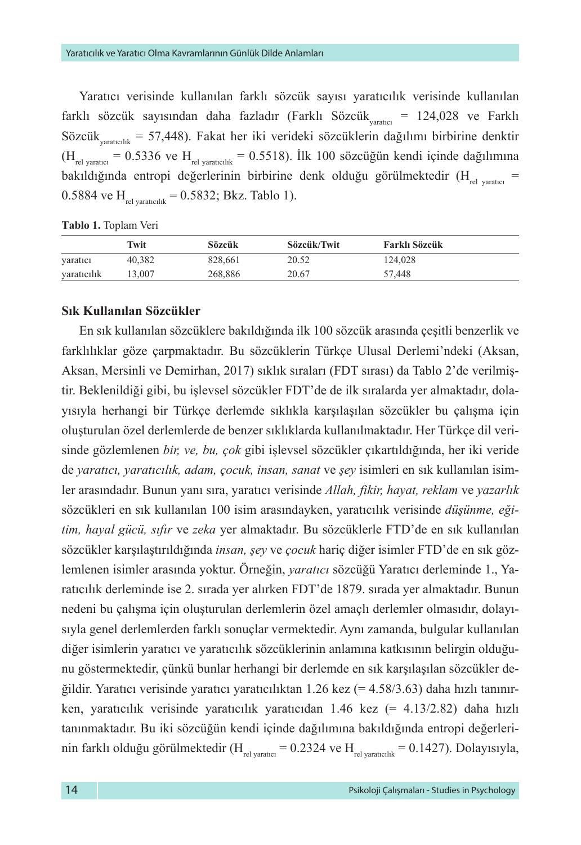Yaratıcı verisinde kullanılan farklı sözcük sayısı yaratıcılık verisinde kullanılan farklı sözcük sayısından daha fazladır (Farklı Sözcük<sub>varatıcı</sub> = 124,028 ve Farklı Sözcük<sub>yaratıcılık</sub> = 57,448). Fakat her iki verideki sözcüklerin dağılımı birbirine denktir  $(H_{rel\,\text{varate}} = 0.5336 \text{ ve } H_{rel\,\text{varateilk}} = 0.5518)$ . İlk 100 sözcüğün kendi içinde dağılımına bakıldığında entropi değerlerinin birbirine denk olduğu görülmektedir  $(H_{rel}$ <sub>rel varatıcı</sub> = 0.5884 ve  $H_{rel\,varphi} = 0.5832$ ; Bkz. Tablo 1).

**Tablo 1.** Toplam Veri

|             | Twit   | Sözcük  | Sözcük/Twit | Farklı Sözcük |  |
|-------------|--------|---------|-------------|---------------|--|
| varatici    | 40.382 | 828.661 | 20.52       | 124,028       |  |
| yaratıcılık | 13.007 | 268,886 | 20.67       | 57.448        |  |

#### **Sık Kullanılan Sözcükler**

En sık kullanılan sözcüklere bakıldığında ilk 100 sözcük arasında çeşitli benzerlik ve farklılıklar göze çarpmaktadır. Bu sözcüklerin Türkçe Ulusal Derlemi'ndeki (Aksan, Aksan, Mersinli ve Demirhan, 2017) sıklık sıraları (FDT sırası) da Tablo 2'de verilmiştir. Beklenildiği gibi, bu işlevsel sözcükler FDT'de de ilk sıralarda yer almaktadır, dolayısıyla herhangi bir Türkçe derlemde sıklıkla karşılaşılan sözcükler bu çalışma için oluşturulan özel derlemlerde de benzer sıklıklarda kullanılmaktadır. Her Türkçe dil verisinde gözlemlenen *bir, ve, bu, çok* gibi işlevsel sözcükler çıkartıldığında, her iki veride de *yaratıcı, yaratıcılık, adam, çocuk, insan, sanat* ve *şey* isimleri en sık kullanılan isimler arasındadır. Bunun yanı sıra, yaratıcı verisinde *Allah, fikir, hayat, reklam* ve *yazarlık*  sözcükleri en sık kullanılan 100 isim arasındayken, yaratıcılık verisinde *düşünme, eğitim, hayal gücü, sıfır* ve *zeka* yer almaktadır. Bu sözcüklerle FTD'de en sık kullanılan sözcükler karşılaştırıldığında *insan, şey* ve *çocuk* hariç diğer isimler FTD'de en sık gözlemlenen isimler arasında yoktur. Örneğin, *yaratıcı* sözcüğü Yaratıcı derleminde 1., Yaratıcılık derleminde ise 2. sırada yer alırken FDT'de 1879. sırada yer almaktadır. Bunun nedeni bu çalışma için oluşturulan derlemlerin özel amaçlı derlemler olmasıdır, dolayısıyla genel derlemlerden farklı sonuçlar vermektedir. Aynı zamanda, bulgular kullanılan diğer isimlerin yaratıcı ve yaratıcılık sözcüklerinin anlamına katkısının belirgin olduğunu göstermektedir, çünkü bunlar herhangi bir derlemde en sık karşılaşılan sözcükler değildir. Yaratıcı verisinde yaratıcı yaratıcılıktan 1.26 kez (= 4.58/3.63) daha hızlı tanınırken, yaratıcılık verisinde yaratıcılık yaratıcıdan 1.46 kez (= 4.13/2.82) daha hızlı tanınmaktadır. Bu iki sözcüğün kendi içinde dağılımına bakıldığında entropi değerlerinin farklı olduğu görülmektedir ( $H_{rel\,varphi} = 0.2324$  ve  $H_{rel\,varphi} = 0.1427$ ). Dolayısıyla,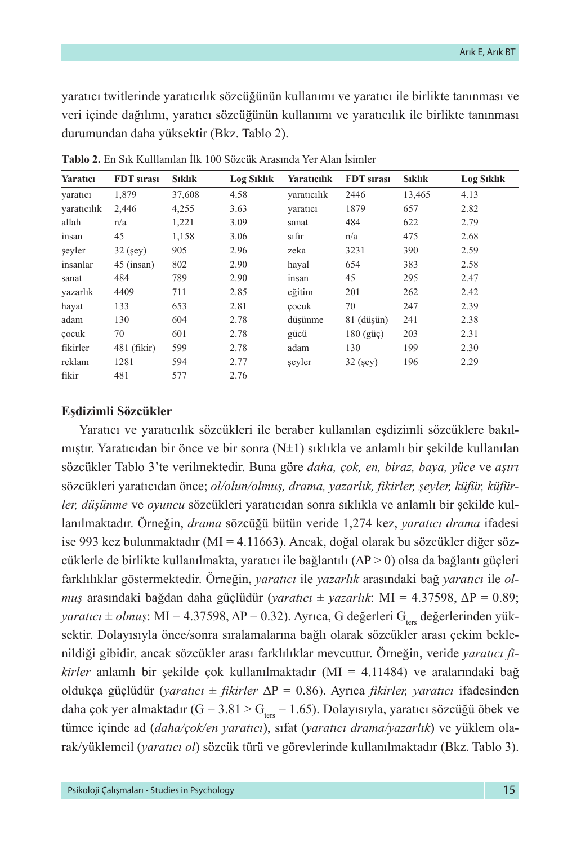yaratıcı twitlerinde yaratıcılık sözcüğünün kullanımı ve yaratıcı ile birlikte tanınması ve veri içinde dağılımı, yaratıcı sözcüğünün kullanımı ve yaratıcılık ile birlikte tanınması durumundan daha yüksektir (Bkz. Tablo 2).

| Yaratıcı    | FDT sırası    | <b>Siklik</b> | <b>Log Siklik</b> | Yaratıcılık | <b>FDT</b> sirasi | <b>S</b> ıklık | <b>Log Siklik</b> |
|-------------|---------------|---------------|-------------------|-------------|-------------------|----------------|-------------------|
| yaratıcı    | 1,879         | 37,608        | 4.58              | yaratıcılık | 2446              | 13,465         | 4.13              |
| varaticilik | 2,446         | 4,255         | 3.63              | varatici    | 1879              | 657            | 2.82              |
| allah       | n/a           | 1,221         | 3.09              | sanat       | 484               | 622            | 2.79              |
| insan       | 45            | 1,158         | 3.06              | sıfır       | n/a               | 475            | 2.68              |
| seyler      | $32$ (sey)    | 905           | 2.96              | zeka        | 3231              | 390            | 2.59              |
| insanlar    | $45$ (insan)  | 802           | 2.90              | haval       | 654               | 383            | 2.58              |
| sanat       | 484           | 789           | 2.90              | insan       | 45                | 295            | 2.47              |
| yazarlık    | 4409          | 711           | 2.85              | eğitim      | 201               | 262            | 2.42              |
| hayat       | 133           | 653           | 2.81              | cocuk       | 70                | 247            | 2.39              |
| adam        | 130           | 604           | 2.78              | düsünme     | 81 (düşün)        | 241            | 2.38              |
| cocuk       | 70            | 601           | 2.78              | gücü        | $180$ (güç)       | 203            | 2.31              |
| fikirler    | $481$ (fikir) | 599           | 2.78              | adam        | 130               | 199            | 2.30              |
| reklam      | 1281          | 594           | 2.77              | seyler      | $32$ (sey)        | 196            | 2.29              |
| fikir       | 481           | 577           | 2.76              |             |                   |                |                   |

**Tablo 2.** En Sık Kulllanılan İlk 100 Sözcük Arasında Yer Alan İsimler

#### **Eşdizimli Sözcükler**

Yaratıcı ve yaratıcılık sözcükleri ile beraber kullanılan eşdizimli sözcüklere bakılmıştır. Yaratıcıdan bir önce ve bir sonra (N±1) sıklıkla ve anlamlı bir şekilde kullanılan sözcükler Tablo 3'te verilmektedir. Buna göre *daha, çok, en, biraz, baya, yüce* ve *aşırı* sözcükleri yaratıcıdan önce; *ol/olun/olmuş, drama, yazarlık, fikirler, şeyler, küfür, küfürler, düşünme* ve *oyuncu* sözcükleri yaratıcıdan sonra sıklıkla ve anlamlı bir şekilde kullanılmaktadır. Örneğin, *drama* sözcüğü bütün veride 1,274 kez, *yaratıcı drama* ifadesi ise 993 kez bulunmaktadır (MI = 4.11663). Ancak, doğal olarak bu sözcükler diğer sözcüklerle de birlikte kullanılmakta, yaratıcı ile bağlantılı  $(\Delta P > 0)$  olsa da bağlantı güçleri farklılıklar göstermektedir. Örneğin, *yaratıcı* ile *yazarlık* arasındaki bağ *yaratıcı* ile *olmuş* arasındaki bağdan daha güçlüdür (*yaratıcı* ± *yazarlık*: MI = 4.37598, ΔP = 0.89;  $\gamma$ aratıcı ± *olmuş*: MI = 4.37598,  $\Delta P = 0.32$ ). Ayrıca, G değerleri G<sub>tar</sub> değerlerinden yüksektir. Dolayısıyla önce/sonra sıralamalarına bağlı olarak sözcükler arası çekim beklenildiği gibidir, ancak sözcükler arası farklılıklar mevcuttur. Örneğin, veride *yaratıcı fikirler* anlamlı bir şekilde çok kullanılmaktadır (MI = 4.11484) ve aralarındaki bağ oldukça güçlüdür (*yaratıcı* ± *fikirler* ΔP = 0.86). Ayrıca *fikirler, yaratıcı* ifadesinden daha çok yer almaktadır (G = 3.81 > G<sub>ters</sub> = 1.65). Dolayısıyla, yaratıcı sözcüğü öbek ve tümce içinde ad (*daha/çok/en yaratıcı*), sıfat (*yaratıcı drama/yazarlık*) ve yüklem olarak/yüklemcil (*yaratıcı ol*) sözcük türü ve görevlerinde kullanılmaktadır (Bkz. Tablo 3).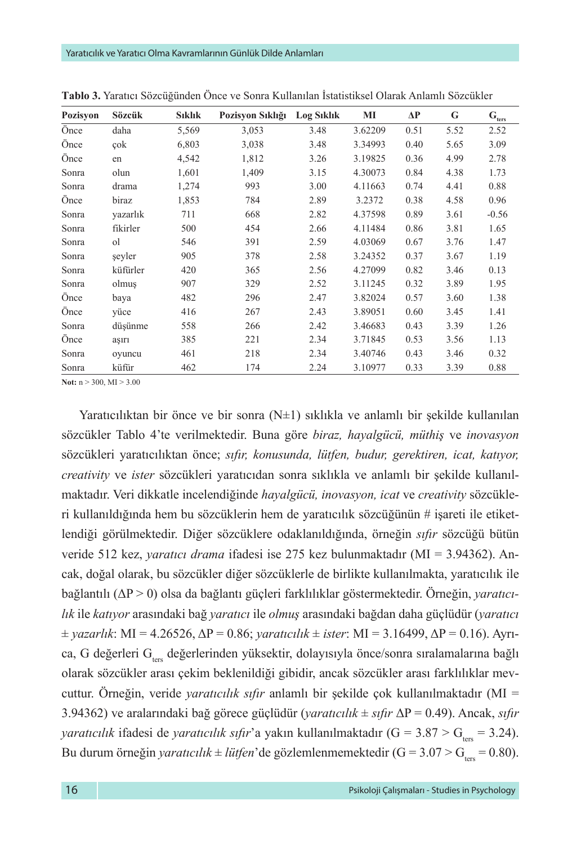| <b>Pozisyon</b> | Sözcük   | Sıklık | Pozisyon Sıklığı | <b>Log Siklik</b> | MI      | ΔP   | G    | $\mathbf{G}_{\mathrm{ters}}$ |
|-----------------|----------|--------|------------------|-------------------|---------|------|------|------------------------------|
| Önce            | daha     | 5,569  | 3,053            | 3.48              | 3.62209 | 0.51 | 5.52 | 2.52                         |
| Önce            | çok      | 6,803  | 3,038            | 3.48              | 3.34993 | 0.40 | 5.65 | 3.09                         |
| Önce            | en       | 4,542  | 1,812            | 3.26              | 3.19825 | 0.36 | 4.99 | 2.78                         |
| Sonra           | olun     | 1,601  | 1,409            | 3.15              | 4.30073 | 0.84 | 4.38 | 1.73                         |
| Sonra           | drama    | 1,274  | 993              | 3.00              | 4.11663 | 0.74 | 4.41 | 0.88                         |
| Önce            | biraz    | 1,853  | 784              | 2.89              | 3.2372  | 0.38 | 4.58 | 0.96                         |
| Sonra           | vazarlık | 711    | 668              | 2.82              | 4.37598 | 0.89 | 3.61 | $-0.56$                      |
| Sonra           | fikirler | 500    | 454              | 2.66              | 4.11484 | 0.86 | 3.81 | 1.65                         |
| Sonra           | οl       | 546    | 391              | 2.59              | 4.03069 | 0.67 | 3.76 | 1.47                         |
| Sonra           | seyler   | 905    | 378              | 2.58              | 3.24352 | 0.37 | 3.67 | 1.19                         |
| Sonra           | küfürler | 420    | 365              | 2.56              | 4.27099 | 0.82 | 3.46 | 0.13                         |
| Sonra           | olmuş    | 907    | 329              | 2.52              | 3.11245 | 0.32 | 3.89 | 1.95                         |
| Önce            | baya     | 482    | 296              | 2.47              | 3.82024 | 0.57 | 3.60 | 1.38                         |
| Önce            | vüce     | 416    | 267              | 2.43              | 3.89051 | 0.60 | 3.45 | 1.41                         |
| Sonra           | düşünme  | 558    | 266              | 2.42              | 3.46683 | 0.43 | 3.39 | 1.26                         |
| Önce            | aşırı    | 385    | 221              | 2.34              | 3.71845 | 0.53 | 3.56 | 1.13                         |
| Sonra           | ovuncu   | 461    | 218              | 2.34              | 3.40746 | 0.43 | 3.46 | 0.32                         |
| Sonra           | küfür    | 462    | 174              | 2.24              | 3.10977 | 0.33 | 3.39 | 0.88                         |

**Tablo 3.** Yaratıcı Sözcüğünden Önce ve Sonra Kullanılan İstatistiksel Olarak Anlamlı Sözcükler

**Not:** n > 300, MI > 3.00

Yaratıcılıktan bir önce ve bir sonra  $(N\pm 1)$  sıklıkla ve anlamlı bir sekilde kullanılan sözcükler Tablo 4'te verilmektedir. Buna göre *biraz, hayalgücü, müthiş* ve *inovasyon* sözcükleri yaratıcılıktan önce; *sıfır, konusunda, lütfen, budur, gerektiren, icat, katıyor, creativity* ve *ister* sözcükleri yaratıcıdan sonra sıklıkla ve anlamlı bir şekilde kullanılmaktadır. Veri dikkatle incelendiğinde *hayalgücü, inovasyon, icat* ve *creativity* sözcükleri kullanıldığında hem bu sözcüklerin hem de yaratıcılık sözcüğünün # işareti ile etiketlendiği görülmektedir. Diğer sözcüklere odaklanıldığında, örneğin *sıfır* sözcüğü bütün veride 512 kez, *yaratıcı drama* ifadesi ise 275 kez bulunmaktadır (MI = 3.94362). Ancak, doğal olarak, bu sözcükler diğer sözcüklerle de birlikte kullanılmakta, yaratıcılık ile bağlantılı (ΔP > 0) olsa da bağlantı güçleri farklılıklar göstermektedir. Örneğin, *yaratıcılık* ile *katıyor* arasındaki bağ *yaratıcı* ile *olmuş* arasındaki bağdan daha güçlüdür (*yaratıcı*   $±$ *yazarlık*: MI = 4.26526, ΔP = 0.86; *yaratıcılık*  $±$  *ister*: MI = 3.16499, ΔP = 0.16). Ayrıca, G değerleri G<sub>ters</sub> değerlerinden yüksektir, dolayısıyla önce/sonra sıralamalarına bağlı olarak sözcükler arası çekim beklenildiği gibidir, ancak sözcükler arası farklılıklar mevcuttur. Örneğin, veride *yaratıcılık sıfır* anlamlı bir şekilde çok kullanılmaktadır (MI = 3.94362) ve aralarındaki bağ görece güçlüdür (*yaratıcılık* ± *sıfır* ΔP = 0.49). Ancak, *sıfır yaratıcılık* ifadesi de *yaratıcılık sıfır*'a yakın kullanılmaktadır (G = 3.87 > G<sub>ters</sub> = 3.24). Bu durum örneğin *yaratıcılık* ± *lütfen*'de gözlemlenmemektedir (G =  $3.07 > G<sub>ters</sub> = 0.80$ ).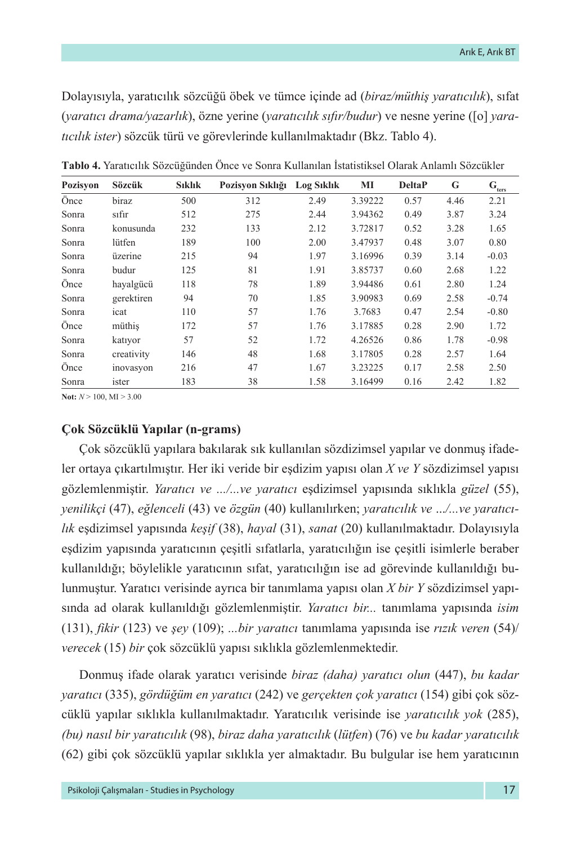Dolayısıyla, yaratıcılık sözcüğü öbek ve tümce içinde ad (*biraz/müthiş yaratıcılık*), sıfat (*yaratıcı drama/yazarlık*), özne yerine (*yaratıcılık sıfır/budur*) ve nesne yerine ([o] *yaratıcılık ister*) sözcük türü ve görevlerinde kullanılmaktadır (Bkz. Tablo 4).

| Pozisyon | Sözcük     | <b>Siklik</b> | Pozisyon Sıklığı | <b>Log Siklik</b> | MI      | <b>DeltaP</b> | G    | $\mathbf{G}_{\underline{\text{ters}}}$ |
|----------|------------|---------------|------------------|-------------------|---------|---------------|------|----------------------------------------|
| Önce     | biraz      | 500           | 312              | 2.49              | 3.39222 | 0.57          | 4.46 | 2.21                                   |
| Sonra    | sıfır      | 512           | 275              | 2.44              | 3.94362 | 0.49          | 3.87 | 3.24                                   |
| Sonra    | konusunda  | 232           | 133              | 2.12              | 3.72817 | 0.52          | 3.28 | 1.65                                   |
| Sonra    | lütfen     | 189           | 100              | 2.00              | 3.47937 | 0.48          | 3.07 | 0.80                                   |
| Sonra    | üzerine    | 215           | 94               | 1.97              | 3.16996 | 0.39          | 3.14 | $-0.03$                                |
| Sonra    | budur      | 125           | 81               | 1.91              | 3.85737 | 0.60          | 2.68 | 1.22                                   |
| Önce     | hayalgücü  | 118           | 78               | 1.89              | 3.94486 | 0.61          | 2.80 | 1.24                                   |
| Sonra    | gerektiren | 94            | 70               | 1.85              | 3.90983 | 0.69          | 2.58 | $-0.74$                                |
| Sonra    | icat       | 110           | 57               | 1.76              | 3.7683  | 0.47          | 2.54 | $-0.80$                                |
| Önce     | müthis     | 172           | 57               | 1.76              | 3.17885 | 0.28          | 2.90 | 1.72                                   |
| Sonra    | katiyor    | 57            | 52               | 1.72              | 4.26526 | 0.86          | 1.78 | $-0.98$                                |
| Sonra    | creativity | 146           | 48               | 1.68              | 3.17805 | 0.28          | 2.57 | 1.64                                   |
| Önce     | inovasyon  | 216           | 47               | 1.67              | 3.23225 | 0.17          | 2.58 | 2.50                                   |
| Sonra    | ister      | 183           | 38               | 1.58              | 3.16499 | 0.16          | 2.42 | 1.82                                   |

**Tablo 4.** Yaratıcılık Sözcüğünden Önce ve Sonra Kullanılan İstatistiksel Olarak Anlamlı Sözcükler

**Not:**  $N > 100$ , MI  $> 3.00$ 

# **Çok Sözcüklü Yapılar (n-grams)**

Çok sözcüklü yapılara bakılarak sık kullanılan sözdizimsel yapılar ve donmuş ifadeler ortaya çıkartılmıştır. Her iki veride bir eşdizim yapısı olan *X ve Y* sözdizimsel yapısı gözlemlenmiştir. *Yaratıcı ve .../...ve yaratıcı* eşdizimsel yapısında sıklıkla *güzel* (55), *yenilikçi* (47), *eğlenceli* (43) ve *özgün* (40) kullanılırken; *yaratıcılık ve* ...*/...ve yaratıcılık* eşdizimsel yapısında *keşif* (38), *hayal* (31), *sanat* (20) kullanılmaktadır. Dolayısıyla eşdizim yapısında yaratıcının çeşitli sıfatlarla, yaratıcılığın ise çeşitli isimlerle beraber kullanıldığı; böylelikle yaratıcının sıfat, yaratıcılığın ise ad görevinde kullanıldığı bulunmuştur. Yaratıcı verisinde ayrıca bir tanımlama yapısı olan *X bir Y* sözdizimsel yapısında ad olarak kullanıldığı gözlemlenmiştir. *Yaratıcı bir...* tanımlama yapısında *isim*  (131), *fikir* (123) ve *şey* (109); *...bir yaratıcı* tanımlama yapısında ise *rızık veren* (54)/ *verecek* (15) *bir* çok sözcüklü yapısı sıklıkla gözlemlenmektedir.

Donmuş ifade olarak yaratıcı verisinde *biraz (daha) yaratıcı olun* (447), *bu kadar yaratıcı* (335), *gördüğüm en yaratıcı* (242) ve *gerçekten çok yaratıcı* (154) gibi çok sözcüklü yapılar sıklıkla kullanılmaktadır. Yaratıcılık verisinde ise *yaratıcılık yok* (285), *(bu) nasıl bir yaratıcılık* (98), *biraz daha yaratıcılık* (*lütfen*) (76) ve *bu kadar yaratıcılık* (62) gibi çok sözcüklü yapılar sıklıkla yer almaktadır. Bu bulgular ise hem yaratıcının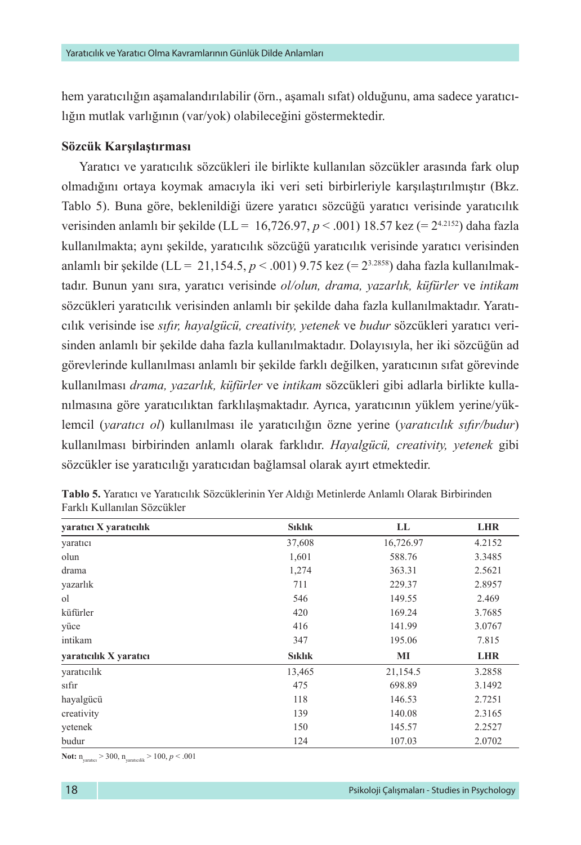hem yaratıcılığın aşamalandırılabilir (örn., aşamalı sıfat) olduğunu, ama sadece yaratıcılığın mutlak varlığının (var/yok) olabileceğini göstermektedir.

#### **Sözcük Karşılaştırması**

Yaratıcı ve yaratıcılık sözcükleri ile birlikte kullanılan sözcükler arasında fark olup olmadığını ortaya koymak amacıyla iki veri seti birbirleriyle karşılaştırılmıştır (Bkz. Tablo 5). Buna göre, beklenildiği üzere yaratıcı sözcüğü yaratıcı verisinde yaratıcılık verisinden anlamlı bir şekilde (LL = 16,726.97,  $p < .001$ ) 18.57 kez (= 2<sup>4.2152</sup>) daha fazla kullanılmakta; aynı şekilde, yaratıcılık sözcüğü yaratıcılık verisinde yaratıcı verisinden anlamlı bir şekilde (LL = 21,154.5, *p* < .001) 9.75 kez (= 23.2858) daha fazla kullanılmaktadır. Bunun yanı sıra, yaratıcı verisinde *ol/olun, drama, yazarlık, küfürler* ve *intikam* sözcükleri yaratıcılık verisinden anlamlı bir şekilde daha fazla kullanılmaktadır. Yaratıcılık verisinde ise *sıfır, hayalgücü, creativity, yetenek* ve *budur* sözcükleri yaratıcı verisinden anlamlı bir şekilde daha fazla kullanılmaktadır. Dolayısıyla, her iki sözcüğün ad görevlerinde kullanılması anlamlı bir şekilde farklı değilken, yaratıcının sıfat görevinde kullanılması *drama, yazarlık, küfürler* ve *intikam* sözcükleri gibi adlarla birlikte kullanılmasına göre yaratıcılıktan farklılaşmaktadır. Ayrıca, yaratıcının yüklem yerine/yüklemcil (*yaratıcı ol*) kullanılması ile yaratıcılığın özne yerine (*yaratıcılık sıfır/budur*) kullanılması birbirinden anlamlı olarak farklıdır. *Hayalgücü, creativity, yetenek* gibi sözcükler ise yaratıcılığı yaratıcıdan bağlamsal olarak ayırt etmektedir.

| yaratıcı X yaratıcılık | Sıklık        | LL        | <b>LHR</b> |
|------------------------|---------------|-----------|------------|
| yaratıcı               | 37,608        | 16,726.97 | 4.2152     |
| olun                   | 1,601         | 588.76    | 3.3485     |
| drama                  | 1,274         | 363.31    | 2.5621     |
| yazarlık               | 711           | 229.37    | 2.8957     |
| οl                     | 546           | 149.55    | 2.469      |
| küfürler               | 420           | 169.24    | 3.7685     |
| yüce                   | 416           | 141.99    | 3.0767     |
| intikam                | 347           | 195.06    | 7.815      |
| yaratıcılık X yaratıcı | <b>Siklik</b> | MI        | <b>LHR</b> |
| yaratıcılık            | 13,465        | 21,154.5  | 3.2858     |
| sifir                  | 475           | 698.89    | 3.1492     |
| hayalgücü              | 118           | 146.53    | 2.7251     |
| creativity             | 139           | 140.08    | 2.3165     |
| yetenek                | 150           | 145.57    | 2.2527     |
| budur                  | 124           | 107.03    | 2.0702     |

**Tablo 5.** Yaratıcı ve Yaratıcılık Sözcüklerinin Yer Aldığı Metinlerde Anlamlı Olarak Birbirinden Farklı Kullanılan Sözcükler

**Not:**  $n_{\text{varate}} > 300$ ,  $n_{\text{varatelik}} > 100$ ,  $p < .001$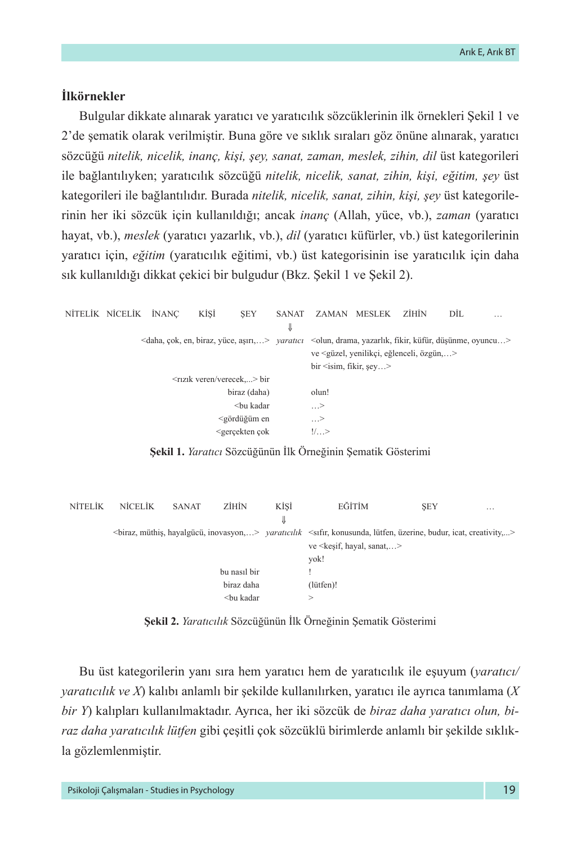# **İlkörnekler**

Bulgular dikkate alınarak yaratıcı ve yaratıcılık sözcüklerinin ilk örnekleri Şekil 1 ve 2'de şematik olarak verilmiştir. Buna göre ve sıklık sıraları göz önüne alınarak, yaratıcı sözcüğü *nitelik, nicelik, inanç, kişi, şey, sanat, zaman, meslek, zihin, dil* üst kategorileri ile bağlantılıyken; yaratıcılık sözcüğü *nitelik, nicelik, sanat, zihin, kişi, eğitim, şey* üst kategorileri ile bağlantılıdır. Burada *nitelik, nicelik, sanat, zihin, kişi, şey* üst kategorilerinin her iki sözcük için kullanıldığı; ancak *inanç* (Allah, yüce, vb.), *zaman* (yaratıcı hayat, vb.), *meslek* (yaratıcı yazarlık, vb.), *dil* (yaratıcı küfürler, vb.) üst kategorilerinin yaratıcı için, *eğitim* (yaratıcılık eğitimi, vb.) üst kategorisinin ise yaratıcılık için daha sık kullanıldığı dikkat çekici bir bulgudur (Bkz. Şekil 1 ve Şekil 2).

|              | NİTELİK NİCELİK İNANC |                                                                                                                                                              | KİSİ                                    | <b>SEY</b>                                                                                                      | SANAT |                                          | ZAMAN MESLEK                                               | <b>ZİHİN</b> | DİL | . |
|--------------|-----------------------|--------------------------------------------------------------------------------------------------------------------------------------------------------------|-----------------------------------------|-----------------------------------------------------------------------------------------------------------------|-------|------------------------------------------|------------------------------------------------------------|--------------|-----|---|
|              |                       |                                                                                                                                                              |                                         |                                                                                                                 | ⇓     |                                          |                                                            |              |     |   |
|              |                       | <daha, aşırı,="" biraz,="" en,="" yüce,="" çok,=""> <i>yaratıcı</i> <olun, drama,="" düşünme,="" fikir,="" küfür,="" oyuncu="" yazarlık,=""></olun,></daha,> |                                         |                                                                                                                 |       |                                          |                                                            |              |     |   |
|              |                       |                                                                                                                                                              |                                         |                                                                                                                 |       |                                          | ve <güzel, eğlenceli,="" yenilikçi,="" özgün,=""></güzel,> |              |     |   |
|              |                       |                                                                                                                                                              |                                         |                                                                                                                 |       | $\text{bir}$ $\leq$ isim, fikir, sey $>$ |                                                            |              |     |   |
|              |                       |                                                                                                                                                              | <rizik verecek="" veren=""> bir</rizik> |                                                                                                                 |       |                                          |                                                            |              |     |   |
| biraz (daha) |                       |                                                                                                                                                              |                                         |                                                                                                                 |       | olun!                                    |                                                            |              |     |   |
|              |                       |                                                                                                                                                              |                                         | <bu kadar<="" th=""><th></th><th><math>\ldots</math>&gt;</th><th></th><th></th><th></th><th></th></bu>          |       | $\ldots$ >                               |                                                            |              |     |   |
|              |                       |                                                                                                                                                              |                                         | <gördüğüm en<="" th=""><th></th><th><math>\ldots</math>&gt;</th><th></th><th></th><th></th><th></th></gördüğüm> |       | $\ldots$ >                               |                                                            |              |     |   |
|              |                       |                                                                                                                                                              |                                         | <gercekten cok<="" th=""><th></th><th><math>!/</math>&gt;</th><th></th><th></th><th></th><th></th></gercekten>  |       | $!/$ >                                   |                                                            |              |     |   |

**Şekil 1.** *Yaratıcı* Sözcüğünün İlk Örneğinin Şematik Gösterimi

| <b>NITELIK</b> | NICELIK | <b>SANAT</b> | <b>ZİHİN</b>                                                      | KİSİ | EĞİTİM                                                                                                                                         | <b>SEY</b> | $\cdots$ |
|----------------|---------|--------------|-------------------------------------------------------------------|------|------------------------------------------------------------------------------------------------------------------------------------------------|------------|----------|
|                |         |              |                                                                   | ⇓    |                                                                                                                                                |            |          |
|                |         |              |                                                                   |      | <br>biraz, müthiş, hayalgücü, inovasyon,> varatıcılık <sıfır, budur,="" creativity,="" icat,="" konusunda,="" lütfen,="" üzerine,=""></sıfır,> |            |          |
|                |         |              |                                                                   |      | ve <kesif, hayal,="" sanat=""></kesif,>                                                                                                        |            |          |
|                |         |              |                                                                   |      | yok!                                                                                                                                           |            |          |
|                |         |              | bu nasil bir                                                      |      |                                                                                                                                                |            |          |
|                |         |              | biraz daha                                                        |      | (lütfen)!                                                                                                                                      |            |          |
|                |         |              | <bu kadar<="" th=""><th></th><th>&gt;</th><th></th><th></th></bu> |      | >                                                                                                                                              |            |          |
|                |         |              |                                                                   |      |                                                                                                                                                |            |          |

**Şekil 2.** *Yaratıcılık* Sözcüğünün İlk Örneğinin Şematik Gösterimi

Bu üst kategorilerin yanı sıra hem yaratıcı hem de yaratıcılık ile eşuyum (*yaratıcı/ yaratıcılık ve X*) kalıbı anlamlı bir şekilde kullanılırken, yaratıcı ile ayrıca tanımlama (*X bir Y*) kalıpları kullanılmaktadır. Ayrıca, her iki sözcük de *biraz daha yaratıcı olun, biraz daha yaratıcılık lütfen* gibi çeşitli çok sözcüklü birimlerde anlamlı bir şekilde sıklıkla gözlemlenmiştir.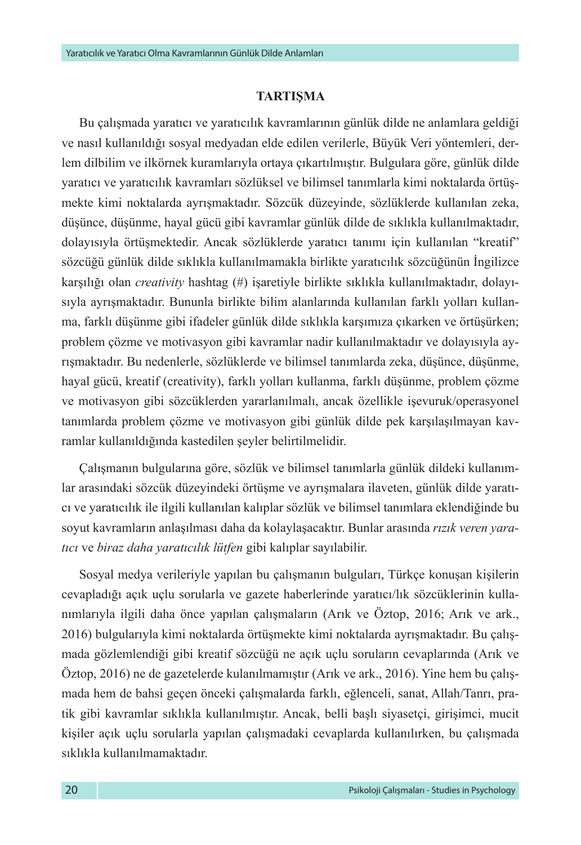# **TARTIŞMA**

Bu çalışmada yaratıcı ve yaratıcılık kavramlarının günlük dilde ne anlamlara geldiği ve nasıl kullanıldığı sosyal medyadan elde edilen verilerle, Büyük Veri yöntemleri, derlem dilbilim ve ilkörnek kuramlarıyla ortaya çıkartılmıştır. Bulgulara göre, günlük dilde yaratıcı ve yaratıcılık kavramları sözlüksel ve bilimsel tanımlarla kimi noktalarda örtüşmekte kimi noktalarda ayrışmaktadır. Sözcük düzeyinde, sözlüklerde kullanılan zeka, düşünce, düşünme, hayal gücü gibi kavramlar günlük dilde de sıklıkla kullanılmaktadır, dolayısıyla örtüşmektedir. Ancak sözlüklerde yaratıcı tanımı için kullanılan "kreatif" sözcüğü günlük dilde sıklıkla kullanılmamakla birlikte yaratıcılık sözcüğünün İngilizce karşılığı olan *creativity* hashtag (#) işaretiyle birlikte sıklıkla kullanılmaktadır, dolayısıyla ayrışmaktadır. Bununla birlikte bilim alanlarında kullanılan farklı yolları kullanma, farklı düşünme gibi ifadeler günlük dilde sıklıkla karşımıza çıkarken ve örtüşürken; problem çözme ve motivasyon gibi kavramlar nadir kullanılmaktadır ve dolayısıyla ayrışmaktadır. Bu nedenlerle, sözlüklerde ve bilimsel tanımlarda zeka, düşünce, düşünme, hayal gücü, kreatif (creativity), farklı yolları kullanma, farklı düşünme, problem çözme ve motivasyon gibi sözcüklerden yararlanılmalı, ancak özellikle işevuruk/operasyonel tanımlarda problem çözme ve motivasyon gibi günlük dilde pek karşılaşılmayan kavramlar kullanıldığında kastedilen şeyler belirtilmelidir.

Çalışmanın bulgularına göre, sözlük ve bilimsel tanımlarla günlük dildeki kullanımlar arasındaki sözcük düzeyindeki örtüşme ve ayrışmalara ilaveten, günlük dilde yaratıcı ve yaratıcılık ile ilgili kullanılan kalıplar sözlük ve bilimsel tanımlara eklendiğinde bu soyut kavramların anlaşılması daha da kolaylaşacaktır. Bunlar arasında *rızık veren yaratıcı* ve *biraz daha yaratıcılık lütfen* gibi kalıplar sayılabilir.

Sosyal medya verileriyle yapılan bu çalışmanın bulguları, Türkçe konuşan kişilerin cevapladığı açık uçlu sorularla ve gazete haberlerinde yaratıcı/lık sözcüklerinin kullanımlarıyla ilgili daha önce yapılan çalışmaların (Arık ve Öztop, 2016; Arık ve ark., 2016) bulgularıyla kimi noktalarda örtüşmekte kimi noktalarda ayrışmaktadır. Bu çalışmada gözlemlendiği gibi kreatif sözcüğü ne açık uçlu soruların cevaplarında (Arık ve Öztop, 2016) ne de gazetelerde kulanılmamıştır (Arık ve ark., 2016). Yine hem bu çalışmada hem de bahsi geçen önceki çalışmalarda farklı, eğlenceli, sanat, Allah/Tanrı, pratik gibi kavramlar sıklıkla kullanılmıştır. Ancak, belli başlı siyasetçi, girişimci, mucit kişiler açık uçlu sorularla yapılan çalışmadaki cevaplarda kullanılırken, bu çalışmada sıklıkla kullanılmamaktadır.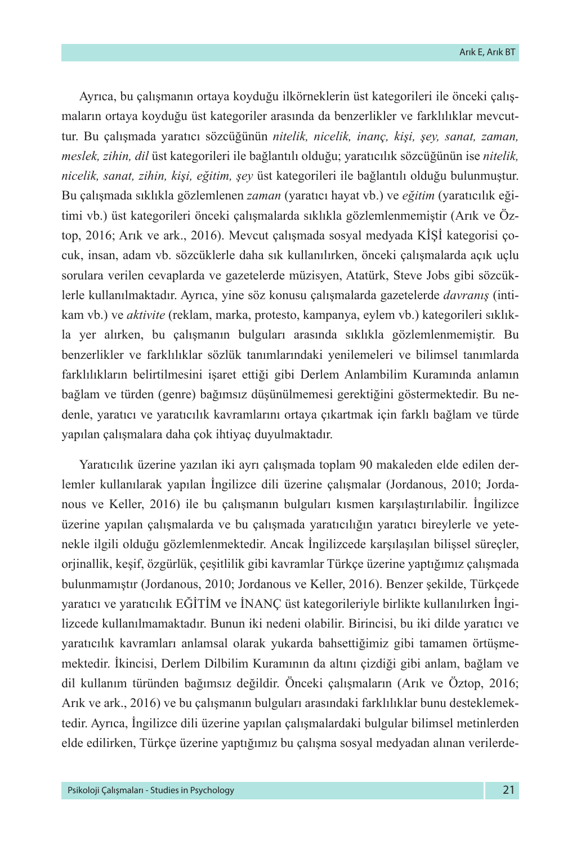Ayrıca, bu çalışmanın ortaya koyduğu ilkörneklerin üst kategorileri ile önceki çalışmaların ortaya koyduğu üst kategoriler arasında da benzerlikler ve farklılıklar mevcuttur. Bu çalışmada yaratıcı sözcüğünün *nitelik, nicelik, inanç, kişi, şey, sanat, zaman, meslek, zihin, dil* üst kategorileri ile bağlantılı olduğu; yaratıcılık sözcüğünün ise *nitelik, nicelik, sanat, zihin, kişi, eğitim, şey* üst kategorileri ile bağlantılı olduğu bulunmuştur. Bu çalışmada sıklıkla gözlemlenen *zaman* (yaratıcı hayat vb.) ve *eğitim* (yaratıcılık eğitimi vb.) üst kategorileri önceki çalışmalarda sıklıkla gözlemlenmemiştir (Arık ve Öztop, 2016; Arık ve ark., 2016). Mevcut çalışmada sosyal medyada KİŞİ kategorisi çocuk, insan, adam vb. sözcüklerle daha sık kullanılırken, önceki çalışmalarda açık uçlu sorulara verilen cevaplarda ve gazetelerde müzisyen, Atatürk, Steve Jobs gibi sözcüklerle kullanılmaktadır. Ayrıca, yine söz konusu çalışmalarda gazetelerde *davranış* (intikam vb.) ve *aktivite* (reklam, marka, protesto, kampanya, eylem vb.) kategorileri sıklıkla yer alırken, bu çalışmanın bulguları arasında sıklıkla gözlemlenmemiştir. Bu benzerlikler ve farklılıklar sözlük tanımlarındaki yenilemeleri ve bilimsel tanımlarda farklılıkların belirtilmesini işaret ettiği gibi Derlem Anlambilim Kuramında anlamın bağlam ve türden (genre) bağımsız düşünülmemesi gerektiğini göstermektedir. Bu nedenle, yaratıcı ve yaratıcılık kavramlarını ortaya çıkartmak için farklı bağlam ve türde yapılan çalışmalara daha çok ihtiyaç duyulmaktadır.

Yaratıcılık üzerine yazılan iki ayrı çalışmada toplam 90 makaleden elde edilen derlemler kullanılarak yapılan İngilizce dili üzerine çalışmalar (Jordanous, 2010; Jordanous ve Keller, 2016) ile bu çalışmanın bulguları kısmen karşılaştırılabilir. İngilizce üzerine yapılan çalışmalarda ve bu çalışmada yaratıcılığın yaratıcı bireylerle ve yetenekle ilgili olduğu gözlemlenmektedir. Ancak İngilizcede karşılaşılan bilişsel süreçler, orjinallik, keşif, özgürlük, çeşitlilik gibi kavramlar Türkçe üzerine yaptığımız çalışmada bulunmamıştır (Jordanous, 2010; Jordanous ve Keller, 2016). Benzer şekilde, Türkçede yaratıcı ve yaratıcılık EĞİTİM ve İNANÇ üst kategorileriyle birlikte kullanılırken İngilizcede kullanılmamaktadır. Bunun iki nedeni olabilir. Birincisi, bu iki dilde yaratıcı ve yaratıcılık kavramları anlamsal olarak yukarda bahsettiğimiz gibi tamamen örtüşmemektedir. İkincisi, Derlem Dilbilim Kuramının da altını çizdiği gibi anlam, bağlam ve dil kullanım türünden bağımsız değildir. Önceki çalışmaların (Arık ve Öztop, 2016; Arık ve ark., 2016) ve bu çalışmanın bulguları arasındaki farklılıklar bunu desteklemektedir. Ayrıca, İngilizce dili üzerine yapılan çalışmalardaki bulgular bilimsel metinlerden elde edilirken, Türkçe üzerine yaptığımız bu çalışma sosyal medyadan alınan verilerde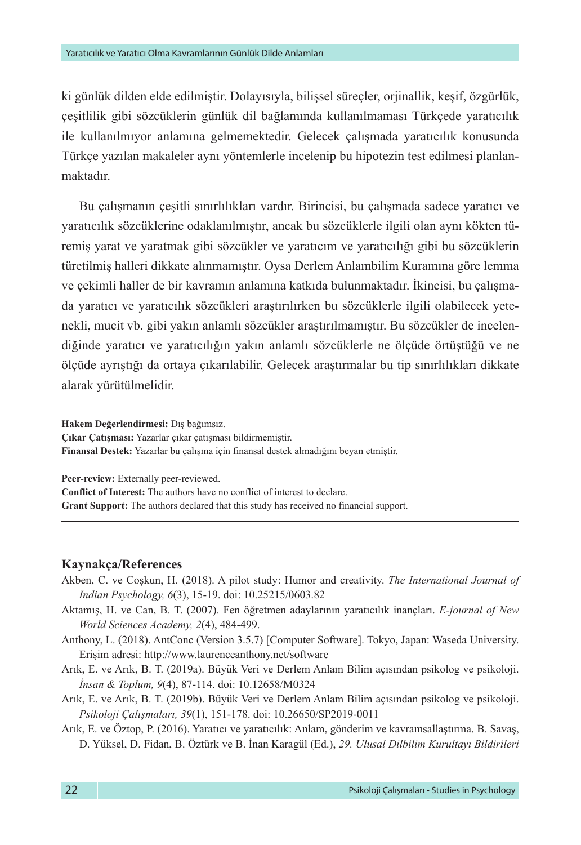ki günlük dilden elde edilmiştir. Dolayısıyla, bilişsel süreçler, orjinallik, keşif, özgürlük, çeşitlilik gibi sözcüklerin günlük dil bağlamında kullanılmaması Türkçede yaratıcılık ile kullanılmıyor anlamına gelmemektedir. Gelecek çalışmada yaratıcılık konusunda Türkçe yazılan makaleler aynı yöntemlerle incelenip bu hipotezin test edilmesi planlanmaktadır.

Bu çalışmanın çeşitli sınırlılıkları vardır. Birincisi, bu çalışmada sadece yaratıcı ve yaratıcılık sözcüklerine odaklanılmıştır, ancak bu sözcüklerle ilgili olan aynı kökten türemiş yarat ve yaratmak gibi sözcükler ve yaratıcım ve yaratıcılığı gibi bu sözcüklerin türetilmiş halleri dikkate alınmamıştır. Oysa Derlem Anlambilim Kuramına göre lemma ve çekimli haller de bir kavramın anlamına katkıda bulunmaktadır. İkincisi, bu çalışmada yaratıcı ve yaratıcılık sözcükleri araştırılırken bu sözcüklerle ilgili olabilecek yetenekli, mucit vb. gibi yakın anlamlı sözcükler araştırılmamıştır. Bu sözcükler de incelendiğinde yaratıcı ve yaratıcılığın yakın anlamlı sözcüklerle ne ölçüde örtüştüğü ve ne ölçüde ayrıştığı da ortaya çıkarılabilir. Gelecek araştırmalar bu tip sınırlılıkları dikkate alarak yürütülmelidir.

**Hakem Değerlendirmesi:** Dış bağımsız.

**Çıkar Çatışması:** Yazarlar çıkar çatışması bildirmemiştir.

**Finansal Destek:** Yazarlar bu çalışma için finansal destek almadığını beyan etmiştir.

**Peer-review:** Externally peer-reviewed.

**Conflict of Interest:** The authors have no conflict of interest to declare. **Grant Support:** The authors declared that this study has received no financial support.

#### **Kaynakça/References**

- Akben, C. ve Coşkun, H. (2018). A pilot study: Humor and creativity. *The International Journal of Indian Psychology, 6*(3), 15-19. doi: 10.25215/0603.82
- Aktamış, H. ve Can, B. T. (2007). Fen öğretmen adaylarının yaratıcılık inançları. *E-journal of New World Sciences Academy, 2*(4), 484-499.
- Anthony, L. (2018). AntConc (Version 3.5.7) [Computer Software]. Tokyo, Japan: Waseda University. Erişim adresi:<http://www.laurenceanthony.net/software>
- Arık, E. ve Arık, B. T. (2019a). Büyük Veri ve Derlem Anlam Bilim açısından psikolog ve psikoloji. *İnsan & Toplum, 9*(4), 87-114. doi: 10.12658/M0324
- Arık, E. ve Arık, B. T. (2019b). Büyük Veri ve Derlem Anlam Bilim açısından psikolog ve psikoloji. *Psikoloji Çalışmaları, 39*(1), 151-178. doi: 10.26650/SP2019-0011
- Arık, E. ve Öztop, P. (2016). Yaratıcı ve yaratıcılık: Anlam, gönderim ve kavramsallaştırma. B. Savaş, D. Yüksel, D. Fidan, B. Öztürk ve B. İnan Karagül (Ed.), *29. Ulusal Dilbilim Kurultayı Bildirileri*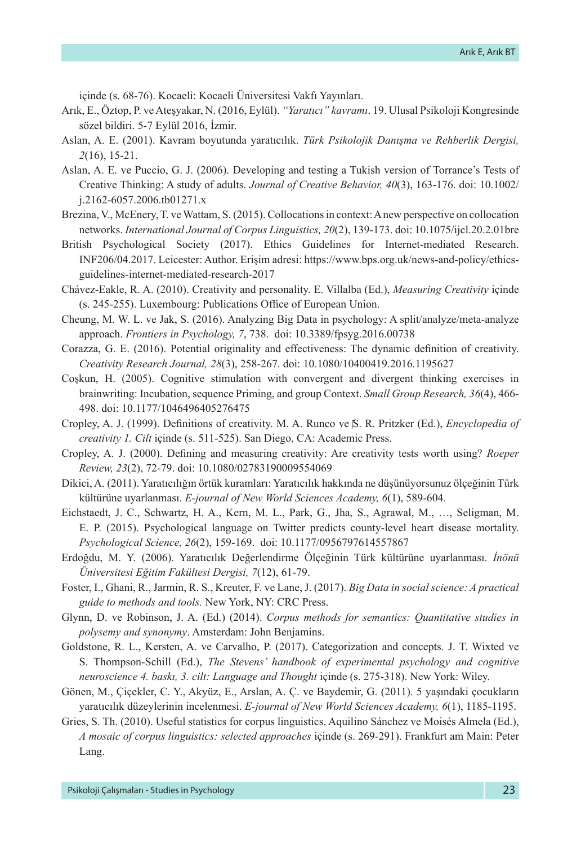içinde (s. 68-76). Kocaeli: Kocaeli Üniversitesi Vakfı Yayınları.

- Arık, E., Öztop, P. ve Ateşyakar, N. (2016, Eylül). *"Yaratıcı" kavramı*. 19. Ulusal Psikoloji Kongresinde sözel bildiri. 5-7 Eylül 2016, İzmir.
- Aslan, A. E. (2001). Kavram boyutunda yaratıcılık. *Türk Psikolojik Danışma ve Rehberlik Dergisi, 2*(16), 15-21.
- Aslan, A. E. ve Puccio, G. J. (2006). Developing and testing a Tukish version of Torrance's Tests of Creative Thinking: A study of adults. *Journal of Creative Behavior, 40*(3), 163-176. doi: [10.1002/](https://doi.org/10.1002/j.2162-6057.2006.tb01271.x) [j.2162-6057.2006.tb01271.x](https://doi.org/10.1002/j.2162-6057.2006.tb01271.x)
- Brezina, V., McEnery, T. ve Wattam, S. (2015). Collocations in context: A new perspective on collocation networks. *International Journal of Corpus Linguistics, 20*(2), 139-173. doi: 10.1075/ijcl.20.2.01bre
- British Psychological Society (2017). Ethics Guidelines for Internet-mediated Research. INF206/04.2017. Leicester: Author. Erişim adresi: https://www.bps.org.uk/news-and-policy/ethicsguidelines-internet-mediated-research-2017
- Chávez-Eakle, R. A. (2010). Creativity and personality. E. Villalba (Ed.), *Measuring Creativity* içinde (s. 245-255). Luxembourg: Publications Office of European Union.
- Cheung, M. W. L. ve Jak, S. (2016). Analyzing Big Data in psychology: A split/analyze/meta-analyze approach. *Frontiers in Psychology, 7*, 738. doi: 10.3389/fpsyg.2016.00738
- Corazza, G. E. (2016). Potential originality and effectiveness: The dynamic definition of creativity. *Creativity Research Journal, 28*(3), 258-267. doi: 10.1080/10400419.2016.1195627
- Coşkun, H. (2005). Cognitive stimulation with convergent and divergent thinking exercises in brainwriting: Incubation, sequence Priming, and group Context. *Small Group Research, 36*(4), 466- 498. doi: 10.1177/1046496405276475
- Cropley, A. J. (1999). Definitions of creativity. M. A. Runco ve S. R. Pritzker (Ed.), *Encyclopedia of creativity 1. Cilt* içinde (s. 511-525). San Diego, CA: Academic Press.
- Cropley, A. J. (2000). Defining and measuring creativity: Are creativity tests worth using? *Roeper Review, 23*(2), 72-79. doi: 10.1080/02783190009554069
- Dikici, A. (2011). Yaratıcılığın örtük kuramları: Yaratıcılık hakkında ne düşünüyorsunuz ölçeğinin Türk kültürüne uyarlanması. *E-journal of New World Sciences Academy, 6*(1), 589-604*.*
- Eichstaedt, J. C., Schwartz, H. A., Kern, M. L., Park, G., Jha, S., Agrawal, M., …, Seligman, M. E. P. (2015). Psychological language on Twitter predicts county-level heart disease mortality. *Psychological Science, 26*(2), 159-169. doi: 10.1177/0956797614557867
- Erdoğdu, M. Y. (2006). Yaratıcılık Değerlendirme Ölçeğinin Türk kültürüne uyarlanması. *İnönü Üniversitesi Eğitim Fakültesi Dergisi, 7*(12), 61-79.
- Foster, I., Ghani, R., Jarmin, R. S., Kreuter, F. ve Lane, J. (2017). *Big Data in social science: A practical guide to methods and tools.* New York, NY: CRC Press.
- Glynn, D. ve Robinson, J. A. (Ed.) (2014). *Corpus methods for semantics: Quantitative studies in polysemy and synonymy*. Amsterdam: John Benjamins.
- Goldstone, R. L., Kersten, A. ve Carvalho, P. (2017). Categorization and concepts. J. T. Wixted ve S. Thompson-Schill (Ed.), *The Stevens' handbook of experimental psychology and cognitive neuroscience 4. baskı, 3. cilt: Language and Thought* içinde (s. 275-318). New York: Wiley.
- Gönen, M., Çiçekler, C. Y., Akyüz, E., Arslan, A. Ç. ve Baydemir, G. (2011). 5 yaşındaki çocukların yaratıcılık düzeylerinin incelenmesi. *E-journal of New World Sciences Academy, 6*(1), 1185-1195.
- Gries, S. Th. (2010). Useful statistics for corpus linguistics. Aquilino Sánchez ve Moisés Almela (Ed.), *A mosaic of corpus linguistics: selected approaches* içinde (s. 269-291). Frankfurt am Main: Peter Lang.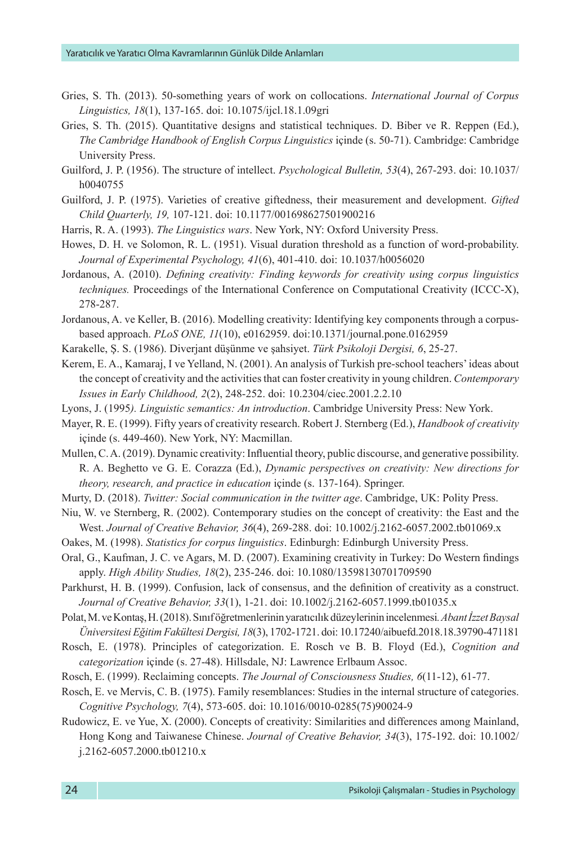- Gries, S. Th. (2013). 50-something years of work on collocations. *International Journal of Corpus Linguistics, 18*(1), 137-165. doi: 10.1075/ijcl.18.1.09gri
- Gries, S. Th. (2015). Quantitative designs and statistical techniques. D. Biber ve R. Reppen (Ed.), *The Cambridge Handbook of English Corpus Linguistics* içinde (s. 50-71). Cambridge: Cambridge University Press.
- Guilford, J. P. (1956). The structure of intellect. *Psychological Bulletin, 53*(4), 267-293. doi: [10.1037/](https://psycnet.apa.org/doi/10.1037/h0040755) [h0040755](https://psycnet.apa.org/doi/10.1037/h0040755)
- Guilford, J. P. (1975). Varieties of creative giftedness, their measurement and development. *Gifted Child Quarterly, 19,* 107-121. doi: 10.1177/001698627501900216
- Harris, R. A. (1993). *The Linguistics wars*. New York, NY: Oxford University Press.
- Howes, D. H. ve Solomon, R. L. (1951). Visual duration threshold as a function of word-probability. *Journal of Experimental Psychology, 41*(6), 401-410. doi: [10.1037/h0056020](https://psycnet.apa.org/doi/10.1037/h0056020)
- Jordanous, A. (2010). *Defining creativity: Finding keywords for creativity using corpus linguistics techniques.* Proceedings of the International Conference on Computational Creativity (ICCC-X), 278-287.
- Jordanous, A. ve Keller, B. (2016). Modelling creativity: Identifying key components through a corpusbased approach. *PLoS ONE, 11*(10), e0162959. doi:10.1371/journal.pone.0162959
- Karakelle, Ş. S. (1986). Diverjant düşünme ve şahsiyet. *Türk Psikoloji Dergisi, 6*, 25-27.
- Kerem, E. A., Kamaraj, I ve Yelland, N. (2001). An analysis of Turkish pre-school teachers' ideas about the concept of creativity and the activities that can foster creativity in young children. *Contemporary Issues in Early Childhood, 2*(2), 248-252. doi: 10.2304/ciec.2001.2.2.10
- Lyons, J. (1995*). Linguistic semantics: An introduction*. Cambridge University Press: New York.

Mayer, R. E. (1999). Fifty years of creativity research. Robert J. Sternberg (Ed.), *Handbook of creativity*  içinde (s. 449-460). New York, NY: Macmillan.

- Mullen, C. A. (2019). Dynamic creativity: Influential theory, public discourse, and generative possibility. R. A. Beghetto ve G. E. Corazza (Ed.), *Dynamic perspectives on creativity: New directions for theory, research, and practice in education* içinde (s. 137-164). Springer.
- Murty, D. (2018). *Twitter: Social communication in the twitter age*. Cambridge, UK: Polity Press.
- Niu, W. ve Sternberg, R. (2002). Contemporary studies on the concept of creativity: the East and the West. *Journal of Creative Behavior, 36*(4), 269-288. doi: 10.1002/j.2162-6057.2002.tb01069.x
- Oakes, M. (1998). *Statistics for corpus linguistics*. Edinburgh: Edinburgh University Press.
- Oral, G., Kaufman, J. C. ve Agars, M. D. (2007). Examining creativity in Turkey: Do Western findings apply. *High Ability Studies, 18*(2), 235-246. doi: 10.1080/13598130701709590
- Parkhurst, H. B. (1999). Confusion, lack of consensus, and the definition of creativity as a construct. *Journal of Creative Behavior, 33*(1), 1-21. doi: 10.1002/j.2162-6057.1999.tb01035.x
- Polat, M. ve Kontaş, H. (2018). Sınıf öğretmenlerinin yaratıcılık düzeylerinin incelenmesi*. Abant İzzet Baysal Üniversitesi Eğitim Fakültesi Dergisi, 18*(3), 1702-1721. doi: 10.17240/aibuefd.2018.18.39790-471181
- Rosch, E. (1978). Principles of categorization. E. Rosch ve B. B. Floyd (Ed.), *Cognition and categorization* içinde (s. 27-48). Hillsdale, NJ: Lawrence Erlbaum Assoc.
- Rosch, E. (1999). Reclaiming concepts. *The Journal of Consciousness Studies, 6*(11-12), 61-77.
- Rosch, E. ve Mervis, C. B. (1975). Family resemblances: Studies in the internal structure of categories. *Cognitive Psychology, 7*(4), 573-605. doi: 10.1016/0010-0285(75)90024-9
- Rudowicz, E. ve Yue, X. (2000). Concepts of creativity: Similarities and differences among Mainland, Hong Kong and Taiwanese Chinese. *Journal of Creative Behavior, 34*(3), 175-192. doi: 10.1002/ j.2162-6057.2000.tb01210.x